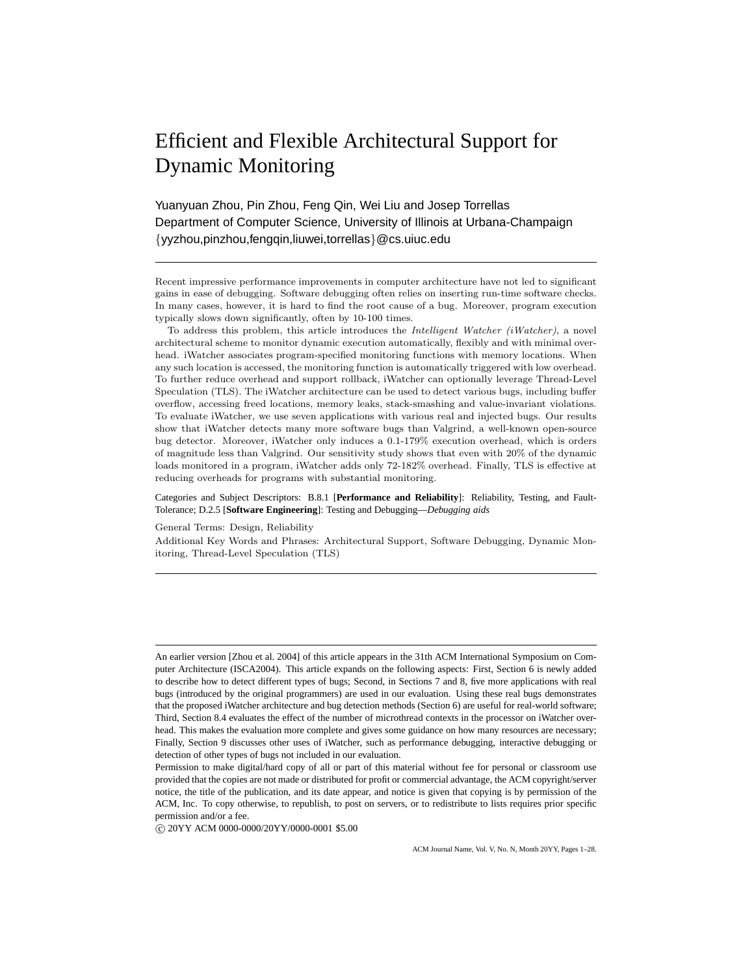# Efficient and Flexible Architectural Support for Dynamic Monitoring

Yuanyuan Zhou, Pin Zhou, Feng Qin, Wei Liu and Josep Torrellas Department of Computer Science, University of Illinois at Urbana-Champaign {yyzhou,pinzhou,fengqin,liuwei,torrellas}@cs.uiuc.edu

Recent impressive performance improvements in computer architecture have not led to significant gains in ease of debugging. Software debugging often relies on inserting run-time software checks. In many cases, however, it is hard to find the root cause of a bug. Moreover, program execution typically slows down significantly, often by 10-100 times.

To address this problem, this article introduces the Intelligent Watcher (iWatcher), a novel architectural scheme to monitor dynamic execution automatically, flexibly and with minimal overhead. iWatcher associates program-specified monitoring functions with memory locations. When any such location is accessed, the monitoring function is automatically triggered with low overhead. To further reduce overhead and support rollback, iWatcher can optionally leverage Thread-Level Speculation (TLS). The iWatcher architecture can be used to detect various bugs, including buffer overflow, accessing freed locations, memory leaks, stack-smashing and value-invariant violations. To evaluate iWatcher, we use seven applications with various real and injected bugs. Our results show that iWatcher detects many more software bugs than Valgrind, a well-known open-source bug detector. Moreover, iWatcher only induces a 0.1-179% execution overhead, which is orders of magnitude less than Valgrind. Our sensitivity study shows that even with 20% of the dynamic loads monitored in a program, iWatcher adds only 72-182% overhead. Finally, TLS is effective at reducing overheads for programs with substantial monitoring.

Categories and Subject Descriptors: B.8.1 [**Performance and Reliability**]: Reliability, Testing, and Fault-Tolerance; D.2.5 [**Software Engineering**]: Testing and Debugging—*Debugging aids*

#### General Terms: Design, Reliability

Additional Key Words and Phrases: Architectural Support, Software Debugging, Dynamic Monitoring, Thread-Level Speculation (TLS)

c 20YY ACM 0000-0000/20YY/0000-0001 \$5.00

ACM Journal Name, Vol. V, No. N, Month 20YY, Pages 1–28.

An earlier version [Zhou et al. 2004] of this article appears in the 31th ACM International Symposium on Computer Architecture (ISCA2004). This article expands on the following aspects: First, Section 6 is newly added to describe how to detect different types of bugs; Second, in Sections 7 and 8, five more applications with real bugs (introduced by the original programmers) are used in our evaluation. Using these real bugs demonstrates that the proposed iWatcher architecture and bug detection methods (Section 6) are useful for real-world software; Third, Section 8.4 evaluates the effect of the number of microthread contexts in the processor on iWatcher overhead. This makes the evaluation more complete and gives some guidance on how many resources are necessary; Finally, Section 9 discusses other uses of iWatcher, such as performance debugging, interactive debugging or detection of other types of bugs not included in our evaluation.

Permission to make digital/hard copy of all or part of this material without fee for personal or classroom use provided that the copies are not made or distributed for profit or commercial advantage, the ACM copyright/server notice, the title of the publication, and its date appear, and notice is given that copying is by permission of the ACM, Inc. To copy otherwise, to republish, to post on servers, or to redistribute to lists requires prior specific permission and/or a fee.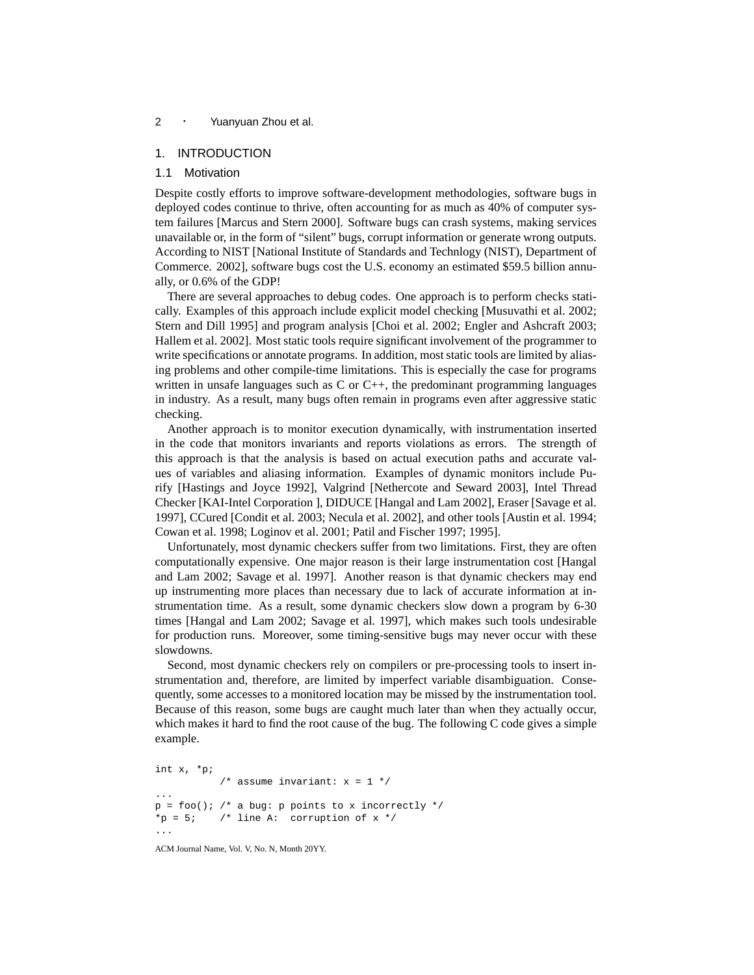# 1. INTRODUCTION

## 1.1 Motivation

Despite costly efforts to improve software-development methodologies, software bugs in deployed codes continue to thrive, often accounting for as much as 40% of computer system failures [Marcus and Stern 2000]. Software bugs can crash systems, making services unavailable or, in the form of "silent" bugs, corrupt information or generate wrong outputs. According to NIST [National Institute of Standards and Technlogy (NIST), Department of Commerce. 2002], software bugs cost the U.S. economy an estimated \$59.5 billion annually, or 0.6% of the GDP!

There are several approaches to debug codes. One approach is to perform checks statically. Examples of this approach include explicit model checking [Musuvathi et al. 2002; Stern and Dill 1995] and program analysis [Choi et al. 2002; Engler and Ashcraft 2003; Hallem et al. 2002]. Most static tools require significant involvement of the programmer to write specifications or annotate programs. In addition, most static tools are limited by aliasing problems and other compile-time limitations. This is especially the case for programs written in unsafe languages such as  $C$  or  $C_{++}$ , the predominant programming languages in industry. As a result, many bugs often remain in programs even after aggressive static checking.

Another approach is to monitor execution dynamically, with instrumentation inserted in the code that monitors invariants and reports violations as errors. The strength of this approach is that the analysis is based on actual execution paths and accurate values of variables and aliasing information. Examples of dynamic monitors include Purify [Hastings and Joyce 1992], Valgrind [Nethercote and Seward 2003], Intel Thread Checker [KAI-Intel Corporation ], DIDUCE [Hangal and Lam 2002], Eraser [Savage et al. 1997], CCured [Condit et al. 2003; Necula et al. 2002], and other tools [Austin et al. 1994; Cowan et al. 1998; Loginov et al. 2001; Patil and Fischer 1997; 1995].

Unfortunately, most dynamic checkers suffer from two limitations. First, they are often computationally expensive. One major reason is their large instrumentation cost [Hangal and Lam 2002; Savage et al. 1997]. Another reason is that dynamic checkers may end up instrumenting more places than necessary due to lack of accurate information at instrumentation time. As a result, some dynamic checkers slow down a program by 6-30 times [Hangal and Lam 2002; Savage et al. 1997], which makes such tools undesirable for production runs. Moreover, some timing-sensitive bugs may never occur with these slowdowns.

Second, most dynamic checkers rely on compilers or pre-processing tools to insert instrumentation and, therefore, are limited by imperfect variable disambiguation. Consequently, some accesses to a monitored location may be missed by the instrumentation tool. Because of this reason, some bugs are caught much later than when they actually occur, which makes it hard to find the root cause of the bug. The following C code gives a simple example.

int x, \*p; /\* assume invariant:  $x = 1$  \*/ ...  $p = foo()$ ; /\* a bug: p points to x incorrectly \*/  $*_{p}$  = 5; /\* line A: corruption of x \*/ ...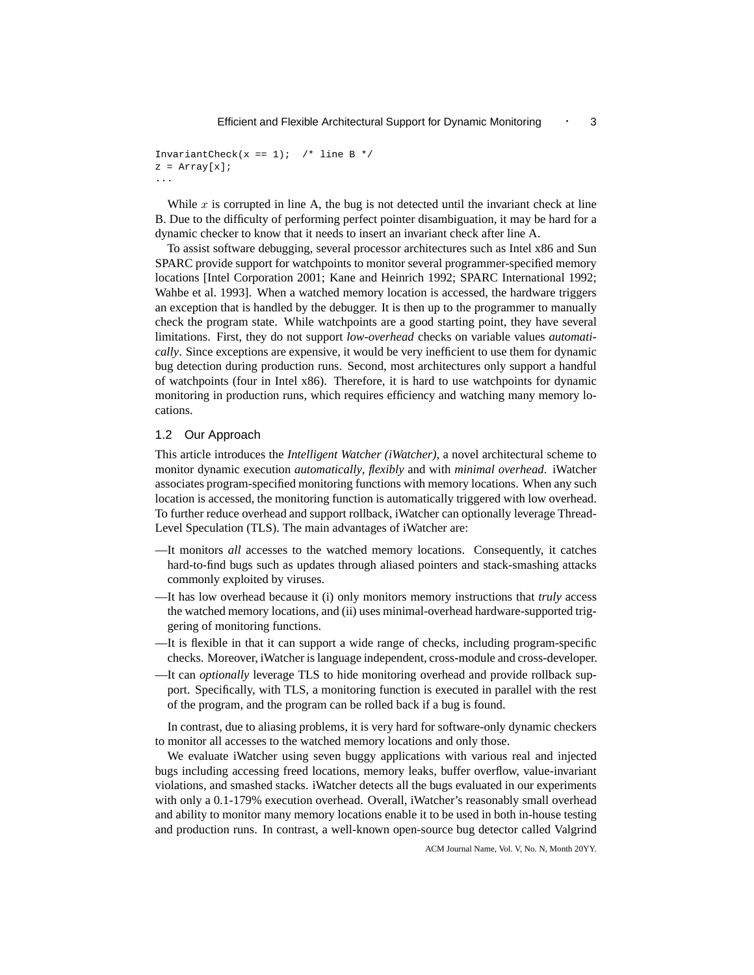```
InvariantCheck(x == 1); /* line B */
z = \text{Array}[x];...
```
While  $x$  is corrupted in line A, the bug is not detected until the invariant check at line B. Due to the difficulty of performing perfect pointer disambiguation, it may be hard for a dynamic checker to know that it needs to insert an invariant check after line A.

To assist software debugging, several processor architectures such as Intel x86 and Sun SPARC provide support for watchpoints to monitor several programmer-specified memory locations [Intel Corporation 2001; Kane and Heinrich 1992; SPARC International 1992; Wahbe et al. 1993]. When a watched memory location is accessed, the hardware triggers an exception that is handled by the debugger. It is then up to the programmer to manually check the program state. While watchpoints are a good starting point, they have several limitations. First, they do not support *low-overhead* checks on variable values *automatically*. Since exceptions are expensive, it would be very inefficient to use them for dynamic bug detection during production runs. Second, most architectures only support a handful of watchpoints (four in Intel x86). Therefore, it is hard to use watchpoints for dynamic monitoring in production runs, which requires efficiency and watching many memory locations.

# 1.2 Our Approach

This article introduces the *Intelligent Watcher (iWatcher)*, a novel architectural scheme to monitor dynamic execution *automatically*, *flexibly* and with *minimal overhead*. iWatcher associates program-specified monitoring functions with memory locations. When any such location is accessed, the monitoring function is automatically triggered with low overhead. To further reduce overhead and support rollback, iWatcher can optionally leverage Thread-Level Speculation (TLS). The main advantages of iWatcher are:

- —It monitors *all* accesses to the watched memory locations. Consequently, it catches hard-to-find bugs such as updates through aliased pointers and stack-smashing attacks commonly exploited by viruses.
- —It has low overhead because it (i) only monitors memory instructions that *truly* access the watched memory locations, and (ii) uses minimal-overhead hardware-supported triggering of monitoring functions.
- —It is flexible in that it can support a wide range of checks, including program-specific checks. Moreover, iWatcher is language independent, cross-module and cross-developer.
- —It can *optionally* leverage TLS to hide monitoring overhead and provide rollback support. Specifically, with TLS, a monitoring function is executed in parallel with the rest of the program, and the program can be rolled back if a bug is found.

In contrast, due to aliasing problems, it is very hard for software-only dynamic checkers to monitor all accesses to the watched memory locations and only those.

We evaluate iWatcher using seven buggy applications with various real and injected bugs including accessing freed locations, memory leaks, buffer overflow, value-invariant violations, and smashed stacks. iWatcher detects all the bugs evaluated in our experiments with only a 0.1-179% execution overhead. Overall, iWatcher's reasonably small overhead and ability to monitor many memory locations enable it to be used in both in-house testing and production runs. In contrast, a well-known open-source bug detector called Valgrind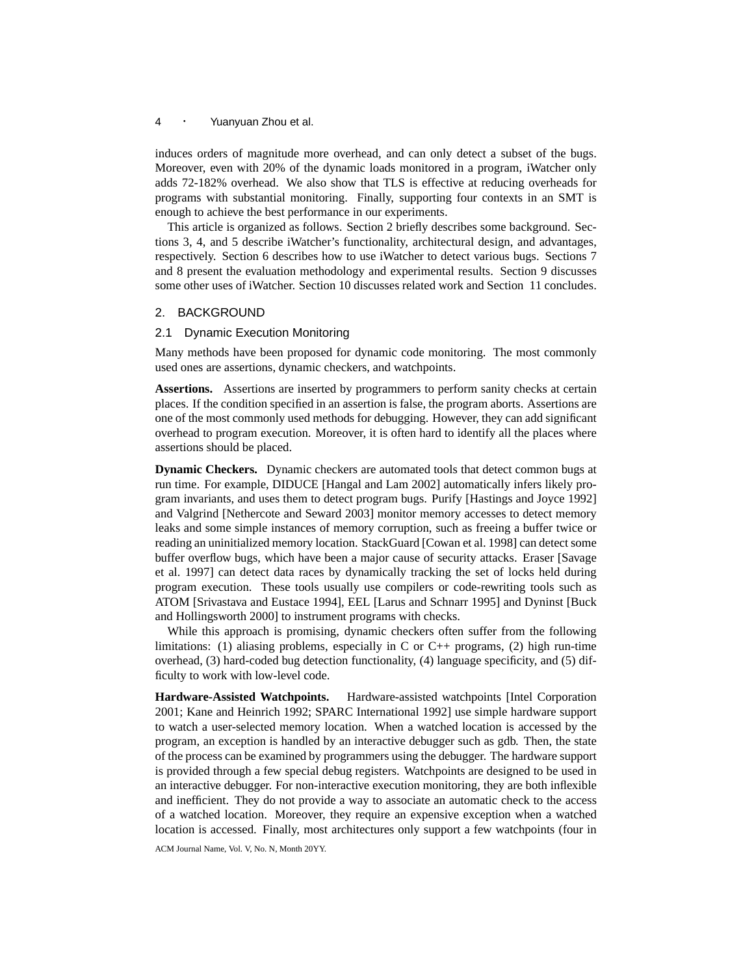induces orders of magnitude more overhead, and can only detect a subset of the bugs. Moreover, even with 20% of the dynamic loads monitored in a program, iWatcher only adds 72-182% overhead. We also show that TLS is effective at reducing overheads for programs with substantial monitoring. Finally, supporting four contexts in an SMT is enough to achieve the best performance in our experiments.

This article is organized as follows. Section 2 briefly describes some background. Sections 3, 4, and 5 describe iWatcher's functionality, architectural design, and advantages, respectively. Section 6 describes how to use iWatcher to detect various bugs. Sections 7 and 8 present the evaluation methodology and experimental results. Section 9 discusses some other uses of iWatcher. Section 10 discusses related work and Section 11 concludes.

## 2. BACKGROUND

# 2.1 Dynamic Execution Monitoring

Many methods have been proposed for dynamic code monitoring. The most commonly used ones are assertions, dynamic checkers, and watchpoints.

**Assertions.** Assertions are inserted by programmers to perform sanity checks at certain places. If the condition specified in an assertion is false, the program aborts. Assertions are one of the most commonly used methods for debugging. However, they can add significant overhead to program execution. Moreover, it is often hard to identify all the places where assertions should be placed.

**Dynamic Checkers.** Dynamic checkers are automated tools that detect common bugs at run time. For example, DIDUCE [Hangal and Lam 2002] automatically infers likely program invariants, and uses them to detect program bugs. Purify [Hastings and Joyce 1992] and Valgrind [Nethercote and Seward 2003] monitor memory accesses to detect memory leaks and some simple instances of memory corruption, such as freeing a buffer twice or reading an uninitialized memory location. StackGuard [Cowan et al. 1998] can detect some buffer overflow bugs, which have been a major cause of security attacks. Eraser [Savage et al. 1997] can detect data races by dynamically tracking the set of locks held during program execution. These tools usually use compilers or code-rewriting tools such as ATOM [Srivastava and Eustace 1994], EEL [Larus and Schnarr 1995] and Dyninst [Buck and Hollingsworth 2000] to instrument programs with checks.

While this approach is promising, dynamic checkers often suffer from the following limitations: (1) aliasing problems, especially in C or  $C_{++}$  programs, (2) high run-time overhead, (3) hard-coded bug detection functionality, (4) language specificity, and (5) difficulty to work with low-level code.

**Hardware-Assisted Watchpoints.** Hardware-assisted watchpoints [Intel Corporation 2001; Kane and Heinrich 1992; SPARC International 1992] use simple hardware support to watch a user-selected memory location. When a watched location is accessed by the program, an exception is handled by an interactive debugger such as gdb. Then, the state of the process can be examined by programmers using the debugger. The hardware support is provided through a few special debug registers. Watchpoints are designed to be used in an interactive debugger. For non-interactive execution monitoring, they are both inflexible and inefficient. They do not provide a way to associate an automatic check to the access of a watched location. Moreover, they require an expensive exception when a watched location is accessed. Finally, most architectures only support a few watchpoints (four in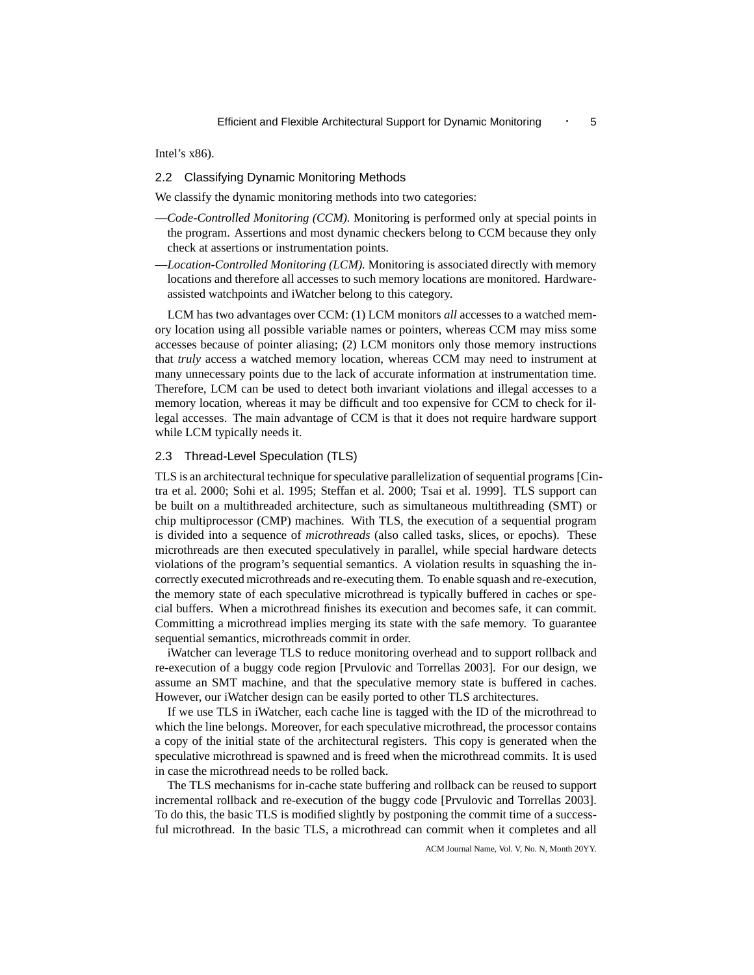Intel's x86).

# 2.2 Classifying Dynamic Monitoring Methods

We classify the dynamic monitoring methods into two categories:

- —*Code-Controlled Monitoring (CCM).* Monitoring is performed only at special points in the program. Assertions and most dynamic checkers belong to CCM because they only check at assertions or instrumentation points.
- —*Location-Controlled Monitoring (LCM).* Monitoring is associated directly with memory locations and therefore all accesses to such memory locations are monitored. Hardwareassisted watchpoints and iWatcher belong to this category.

LCM has two advantages over CCM: (1) LCM monitors *all* accesses to a watched memory location using all possible variable names or pointers, whereas CCM may miss some accesses because of pointer aliasing; (2) LCM monitors only those memory instructions that *truly* access a watched memory location, whereas CCM may need to instrument at many unnecessary points due to the lack of accurate information at instrumentation time. Therefore, LCM can be used to detect both invariant violations and illegal accesses to a memory location, whereas it may be difficult and too expensive for CCM to check for illegal accesses. The main advantage of CCM is that it does not require hardware support while LCM typically needs it.

# 2.3 Thread-Level Speculation (TLS)

TLS is an architectural technique for speculative parallelization of sequential programs [Cintra et al. 2000; Sohi et al. 1995; Steffan et al. 2000; Tsai et al. 1999]. TLS support can be built on a multithreaded architecture, such as simultaneous multithreading (SMT) or chip multiprocessor (CMP) machines. With TLS, the execution of a sequential program is divided into a sequence of *microthreads* (also called tasks, slices, or epochs). These microthreads are then executed speculatively in parallel, while special hardware detects violations of the program's sequential semantics. A violation results in squashing the incorrectly executed microthreads and re-executing them. To enable squash and re-execution, the memory state of each speculative microthread is typically buffered in caches or special buffers. When a microthread finishes its execution and becomes safe, it can commit. Committing a microthread implies merging its state with the safe memory. To guarantee sequential semantics, microthreads commit in order.

iWatcher can leverage TLS to reduce monitoring overhead and to support rollback and re-execution of a buggy code region [Prvulovic and Torrellas 2003]. For our design, we assume an SMT machine, and that the speculative memory state is buffered in caches. However, our iWatcher design can be easily ported to other TLS architectures.

If we use TLS in iWatcher, each cache line is tagged with the ID of the microthread to which the line belongs. Moreover, for each speculative microthread, the processor contains a copy of the initial state of the architectural registers. This copy is generated when the speculative microthread is spawned and is freed when the microthread commits. It is used in case the microthread needs to be rolled back.

The TLS mechanisms for in-cache state buffering and rollback can be reused to support incremental rollback and re-execution of the buggy code [Prvulovic and Torrellas 2003]. To do this, the basic TLS is modified slightly by postponing the commit time of a successful microthread. In the basic TLS, a microthread can commit when it completes and all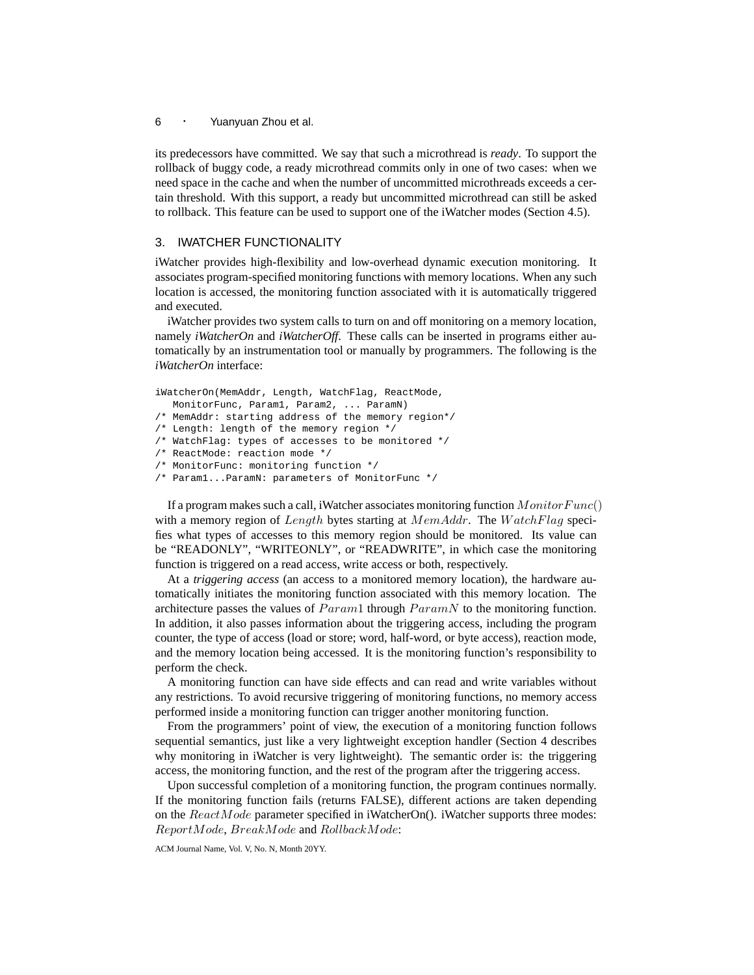its predecessors have committed. We say that such a microthread is *ready*. To support the rollback of buggy code, a ready microthread commits only in one of two cases: when we need space in the cache and when the number of uncommitted microthreads exceeds a certain threshold. With this support, a ready but uncommitted microthread can still be asked to rollback. This feature can be used to support one of the iWatcher modes (Section 4.5).

# 3. IWATCHER FUNCTIONALITY

iWatcher provides high-flexibility and low-overhead dynamic execution monitoring. It associates program-specified monitoring functions with memory locations. When any such location is accessed, the monitoring function associated with it is automatically triggered and executed.

iWatcher provides two system calls to turn on and off monitoring on a memory location, namely *iWatcherOn* and *iWatcherOff*. These calls can be inserted in programs either automatically by an instrumentation tool or manually by programmers. The following is the *iWatcherOn* interface:

```
iWatcherOn(MemAddr, Length, WatchFlag, ReactMode,
  MonitorFunc, Param1, Param2, ... ParamN)
/* MemAddr: starting address of the memory region*/
/* Length: length of the memory region */
/* WatchFlag: types of accesses to be monitored */
/* ReactMode: reaction mode */
/* MonitorFunc: monitoring function */
/* Param1...ParamN: parameters of MonitorFunc */
```
If a program makes such a call, iWatcher associates monitoring function  $MonitorFunc()$ with a memory region of Length bytes starting at  $MemAddr$ . The  $WatchFlag$  specifies what types of accesses to this memory region should be monitored. Its value can be "READONLY", "WRITEONLY", or "READWRITE", in which case the monitoring function is triggered on a read access, write access or both, respectively.

At a *triggering access* (an access to a monitored memory location), the hardware automatically initiates the monitoring function associated with this memory location. The architecture passes the values of  $Param1$  through  $ParamN$  to the monitoring function. In addition, it also passes information about the triggering access, including the program counter, the type of access (load or store; word, half-word, or byte access), reaction mode, and the memory location being accessed. It is the monitoring function's responsibility to perform the check.

A monitoring function can have side effects and can read and write variables without any restrictions. To avoid recursive triggering of monitoring functions, no memory access performed inside a monitoring function can trigger another monitoring function.

From the programmers' point of view, the execution of a monitoring function follows sequential semantics, just like a very lightweight exception handler (Section 4 describes why monitoring in iWatcher is very lightweight). The semantic order is: the triggering access, the monitoring function, and the rest of the program after the triggering access.

Upon successful completion of a monitoring function, the program continues normally. If the monitoring function fails (returns FALSE), different actions are taken depending on the  $ReachMode$  parameter specified in iWatcherOn(). iWatcher supports three modes: ReportMode, BreakMode and RollbackMode: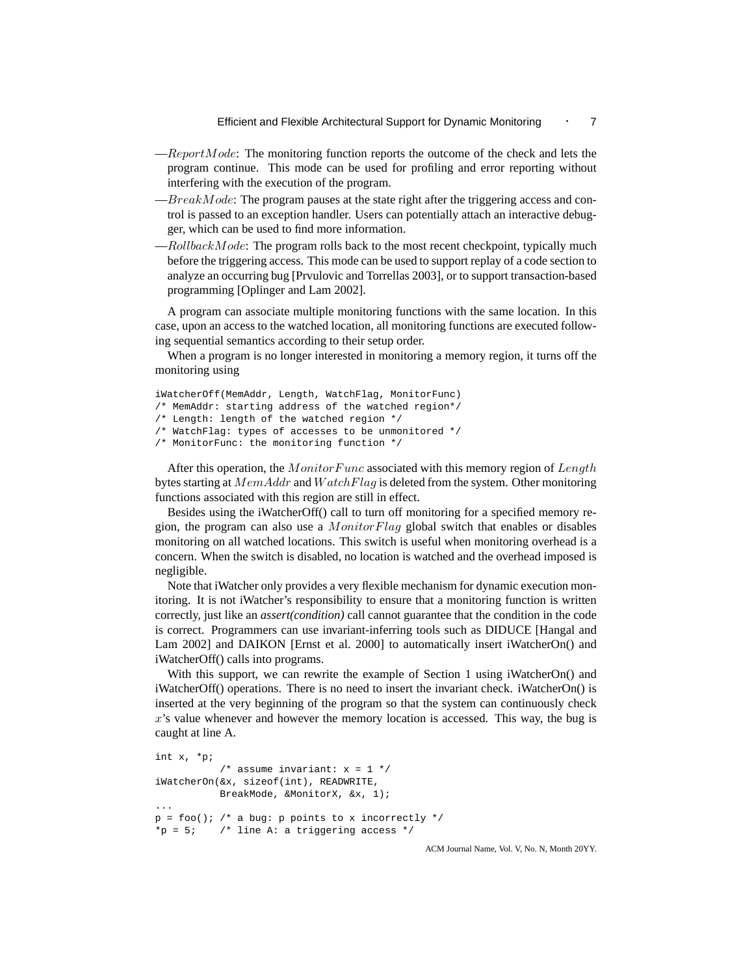- $-$ ReportMode: The monitoring function reports the outcome of the check and lets the program continue. This mode can be used for profiling and error reporting without interfering with the execution of the program.
- $-breakMode$ : The program pauses at the state right after the triggering access and control is passed to an exception handler. Users can potentially attach an interactive debugger, which can be used to find more information.
- $-RollbackMode$ : The program rolls back to the most recent checkpoint, typically much before the triggering access. This mode can be used to support replay of a code section to analyze an occurring bug [Prvulovic and Torrellas 2003], or to support transaction-based programming [Oplinger and Lam 2002].

A program can associate multiple monitoring functions with the same location. In this case, upon an access to the watched location, all monitoring functions are executed following sequential semantics according to their setup order.

When a program is no longer interested in monitoring a memory region, it turns off the monitoring using

```
iWatcherOff(MemAddr, Length, WatchFlag, MonitorFunc)
/* MemAddr: starting address of the watched region*/
/* Length: length of the watched region */
/* WatchFlag: types of accesses to be unmonitored */
/* MonitorFunc: the monitoring function */
```
After this operation, the  $MonitorFunc$  associated with this memory region of  $Length$ bytes starting at  $MemAddr$  and  $WatchFlag$  is deleted from the system. Other monitoring functions associated with this region are still in effect.

Besides using the iWatcherOff() call to turn off monitoring for a specified memory region, the program can also use a  $MonitorFlag$  global switch that enables or disables monitoring on all watched locations. This switch is useful when monitoring overhead is a concern. When the switch is disabled, no location is watched and the overhead imposed is negligible.

Note that iWatcher only provides a very flexible mechanism for dynamic execution monitoring. It is not iWatcher's responsibility to ensure that a monitoring function is written correctly, just like an *assert(condition)* call cannot guarantee that the condition in the code is correct. Programmers can use invariant-inferring tools such as DIDUCE [Hangal and Lam 2002] and DAIKON [Ernst et al. 2000] to automatically insert iWatcherOn() and iWatcherOff() calls into programs.

With this support, we can rewrite the example of Section 1 using iWatcherOn() and iWatcherOff() operations. There is no need to insert the invariant check. iWatcherOn() is inserted at the very beginning of the program so that the system can continuously check  $x$ 's value whenever and however the memory location is accessed. This way, the bug is caught at line A.

```
int x, *p;
           /* assume invariant: x = 1 */
iWatcherOn(&x, sizeof(int), READWRITE,
          BreakMode, &MonitorX, &x, 1);
...
p = foo(); /* a bug: p points to x incorrectly */
*_{p} = 5; /* line A: a triggering access */
```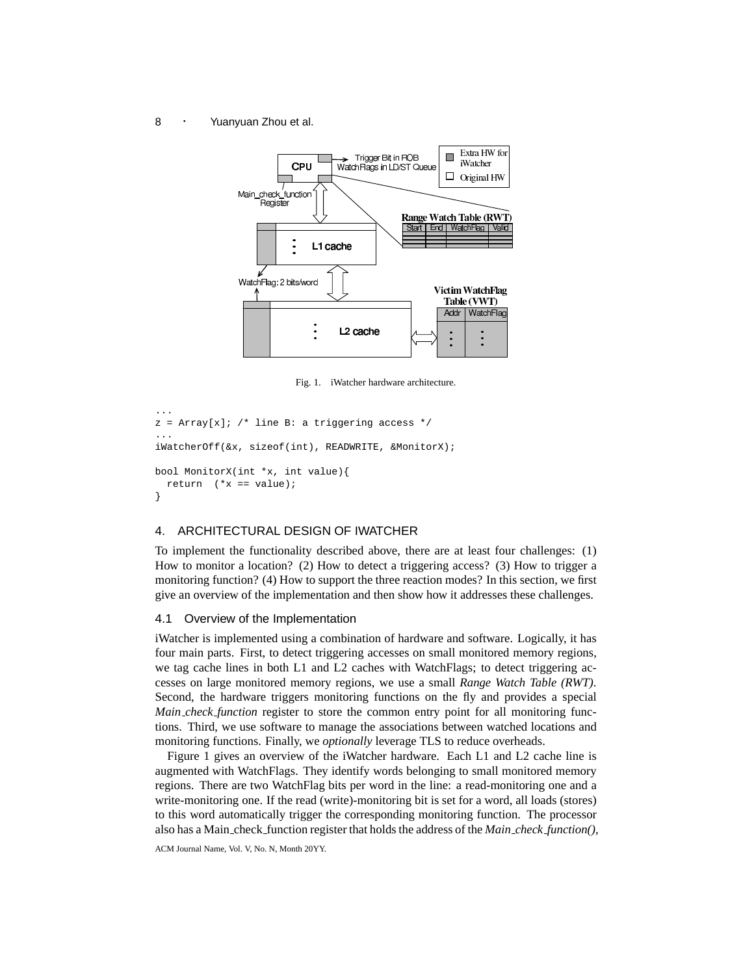

Fig. 1. iWatcher hardware architecture.

```
...
z = \text{Array}[x]; /* line B: a triggering access */
...
iWatcherOff(&x, sizeof(int), READWRITE, &MonitorX);
bool MonitorX(int *x, int value){
  return (*x == value);}
```
# 4. ARCHITECTURAL DESIGN OF IWATCHER

To implement the functionality described above, there are at least four challenges: (1) How to monitor a location? (2) How to detect a triggering access? (3) How to trigger a monitoring function? (4) How to support the three reaction modes? In this section, we first give an overview of the implementation and then show how it addresses these challenges.

#### 4.1 Overview of the Implementation

iWatcher is implemented using a combination of hardware and software. Logically, it has four main parts. First, to detect triggering accesses on small monitored memory regions, we tag cache lines in both L1 and L2 caches with WatchFlags; to detect triggering accesses on large monitored memory regions, we use a small *Range Watch Table (RWT)*. Second, the hardware triggers monitoring functions on the fly and provides a special *Main check function* register to store the common entry point for all monitoring functions. Third, we use software to manage the associations between watched locations and monitoring functions. Finally, we *optionally* leverage TLS to reduce overheads.

Figure 1 gives an overview of the iWatcher hardware. Each L1 and L2 cache line is augmented with WatchFlags. They identify words belonging to small monitored memory regions. There are two WatchFlag bits per word in the line: a read-monitoring one and a write-monitoring one. If the read (write)-monitoring bit is set for a word, all loads (stores) to this word automatically trigger the corresponding monitoring function. The processor also has a Main check function register that holds the address of the *Main check function()*,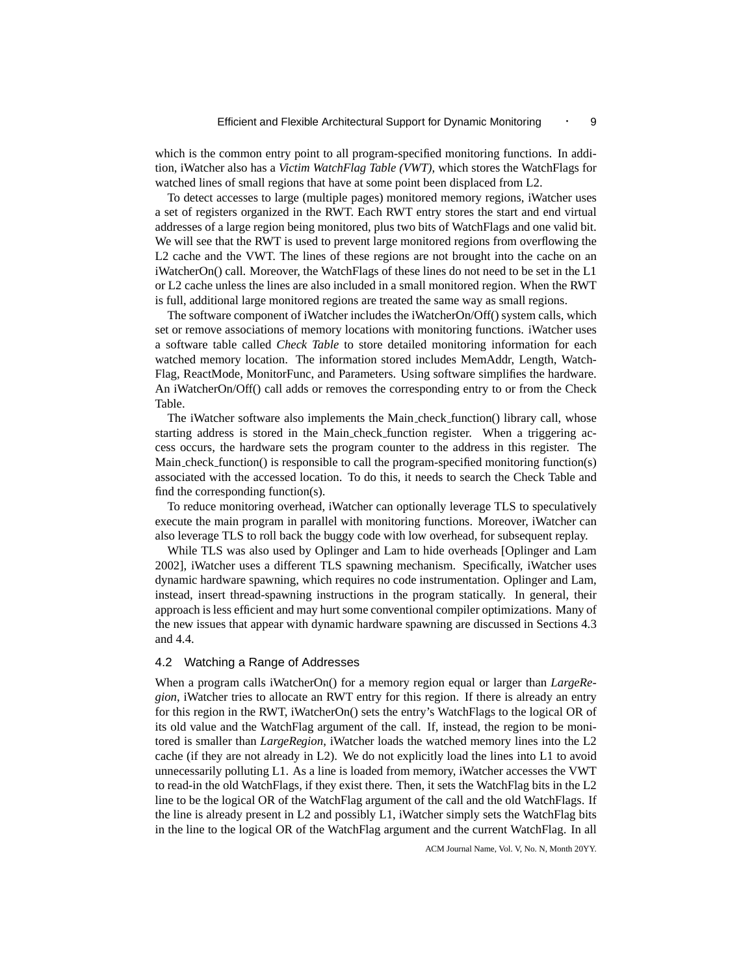which is the common entry point to all program-specified monitoring functions. In addition, iWatcher also has a *Victim WatchFlag Table (VWT)*, which stores the WatchFlags for watched lines of small regions that have at some point been displaced from L2.

To detect accesses to large (multiple pages) monitored memory regions, iWatcher uses a set of registers organized in the RWT. Each RWT entry stores the start and end virtual addresses of a large region being monitored, plus two bits of WatchFlags and one valid bit. We will see that the RWT is used to prevent large monitored regions from overflowing the L2 cache and the VWT. The lines of these regions are not brought into the cache on an iWatcherOn() call. Moreover, the WatchFlags of these lines do not need to be set in the L1 or L2 cache unless the lines are also included in a small monitored region. When the RWT is full, additional large monitored regions are treated the same way as small regions.

The software component of iWatcher includes the iWatcherOn/Off() system calls, which set or remove associations of memory locations with monitoring functions. iWatcher uses a software table called *Check Table* to store detailed monitoring information for each watched memory location. The information stored includes MemAddr, Length, Watch-Flag, ReactMode, MonitorFunc, and Parameters. Using software simplifies the hardware. An iWatcherOn/Off() call adds or removes the corresponding entry to or from the Check Table.

The iWatcher software also implements the Main check function() library call, whose starting address is stored in the Main check function register. When a triggering access occurs, the hardware sets the program counter to the address in this register. The Main check function() is responsible to call the program-specified monitoring function(s) associated with the accessed location. To do this, it needs to search the Check Table and find the corresponding function(s).

To reduce monitoring overhead, iWatcher can optionally leverage TLS to speculatively execute the main program in parallel with monitoring functions. Moreover, iWatcher can also leverage TLS to roll back the buggy code with low overhead, for subsequent replay.

While TLS was also used by Oplinger and Lam to hide overheads [Oplinger and Lam 2002], iWatcher uses a different TLS spawning mechanism. Specifically, iWatcher uses dynamic hardware spawning, which requires no code instrumentation. Oplinger and Lam, instead, insert thread-spawning instructions in the program statically. In general, their approach is less efficient and may hurt some conventional compiler optimizations. Many of the new issues that appear with dynamic hardware spawning are discussed in Sections 4.3 and 4.4.

#### 4.2 Watching a Range of Addresses

When a program calls iWatcherOn() for a memory region equal or larger than *LargeRegion*, iWatcher tries to allocate an RWT entry for this region. If there is already an entry for this region in the RWT, iWatcherOn() sets the entry's WatchFlags to the logical OR of its old value and the WatchFlag argument of the call. If, instead, the region to be monitored is smaller than *LargeRegion*, iWatcher loads the watched memory lines into the L2 cache (if they are not already in L2). We do not explicitly load the lines into L1 to avoid unnecessarily polluting L1. As a line is loaded from memory, iWatcher accesses the VWT to read-in the old WatchFlags, if they exist there. Then, it sets the WatchFlag bits in the L2 line to be the logical OR of the WatchFlag argument of the call and the old WatchFlags. If the line is already present in L2 and possibly L1, iWatcher simply sets the WatchFlag bits in the line to the logical OR of the WatchFlag argument and the current WatchFlag. In all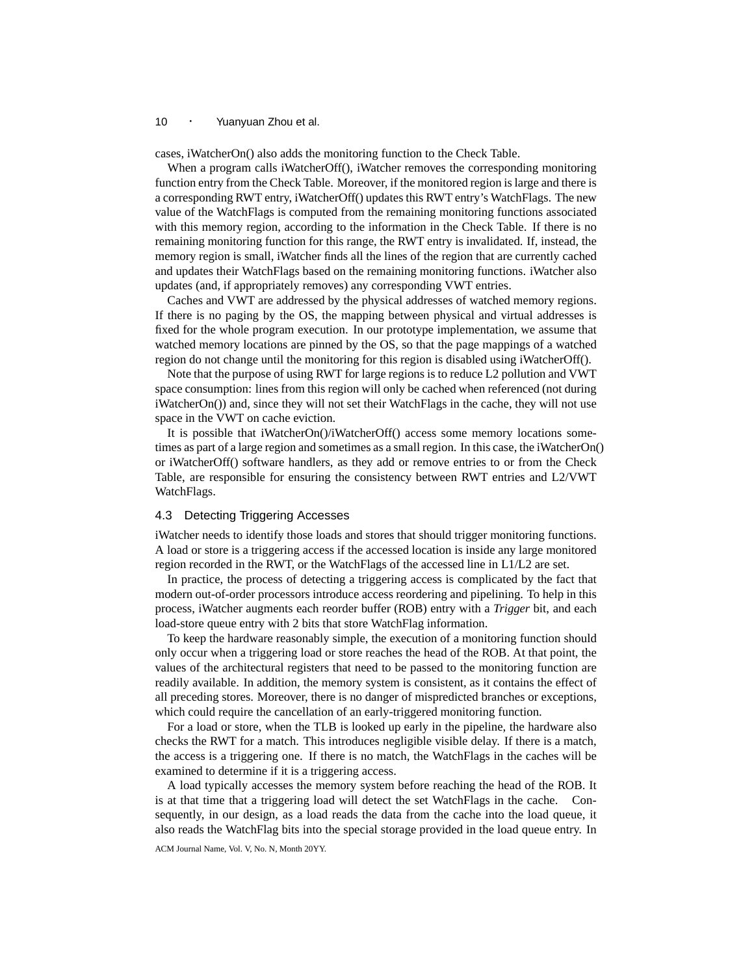cases, iWatcherOn() also adds the monitoring function to the Check Table.

When a program calls iWatcherOff(), iWatcher removes the corresponding monitoring function entry from the Check Table. Moreover, if the monitored region is large and there is a corresponding RWT entry, iWatcherOff() updates this RWT entry's WatchFlags. The new value of the WatchFlags is computed from the remaining monitoring functions associated with this memory region, according to the information in the Check Table. If there is no remaining monitoring function for this range, the RWT entry is invalidated. If, instead, the memory region is small, iWatcher finds all the lines of the region that are currently cached and updates their WatchFlags based on the remaining monitoring functions. iWatcher also updates (and, if appropriately removes) any corresponding VWT entries.

Caches and VWT are addressed by the physical addresses of watched memory regions. If there is no paging by the OS, the mapping between physical and virtual addresses is fixed for the whole program execution. In our prototype implementation, we assume that watched memory locations are pinned by the OS, so that the page mappings of a watched region do not change until the monitoring for this region is disabled using iWatcherOff().

Note that the purpose of using RWT for large regions is to reduce L2 pollution and VWT space consumption: lines from this region will only be cached when referenced (not during iWatcherOn()) and, since they will not set their WatchFlags in the cache, they will not use space in the VWT on cache eviction.

It is possible that iWatcherOn()/iWatcherOff() access some memory locations sometimes as part of a large region and sometimes as a small region. In this case, the iWatcherOn() or iWatcherOff() software handlers, as they add or remove entries to or from the Check Table, are responsible for ensuring the consistency between RWT entries and L2/VWT WatchFlags.

# 4.3 Detecting Triggering Accesses

iWatcher needs to identify those loads and stores that should trigger monitoring functions. A load or store is a triggering access if the accessed location is inside any large monitored region recorded in the RWT, or the WatchFlags of the accessed line in L1/L2 are set.

In practice, the process of detecting a triggering access is complicated by the fact that modern out-of-order processors introduce access reordering and pipelining. To help in this process, iWatcher augments each reorder buffer (ROB) entry with a *Trigger* bit, and each load-store queue entry with 2 bits that store WatchFlag information.

To keep the hardware reasonably simple, the execution of a monitoring function should only occur when a triggering load or store reaches the head of the ROB. At that point, the values of the architectural registers that need to be passed to the monitoring function are readily available. In addition, the memory system is consistent, as it contains the effect of all preceding stores. Moreover, there is no danger of mispredicted branches or exceptions, which could require the cancellation of an early-triggered monitoring function.

For a load or store, when the TLB is looked up early in the pipeline, the hardware also checks the RWT for a match. This introduces negligible visible delay. If there is a match, the access is a triggering one. If there is no match, the WatchFlags in the caches will be examined to determine if it is a triggering access.

A load typically accesses the memory system before reaching the head of the ROB. It is at that time that a triggering load will detect the set WatchFlags in the cache. Consequently, in our design, as a load reads the data from the cache into the load queue, it also reads the WatchFlag bits into the special storage provided in the load queue entry. In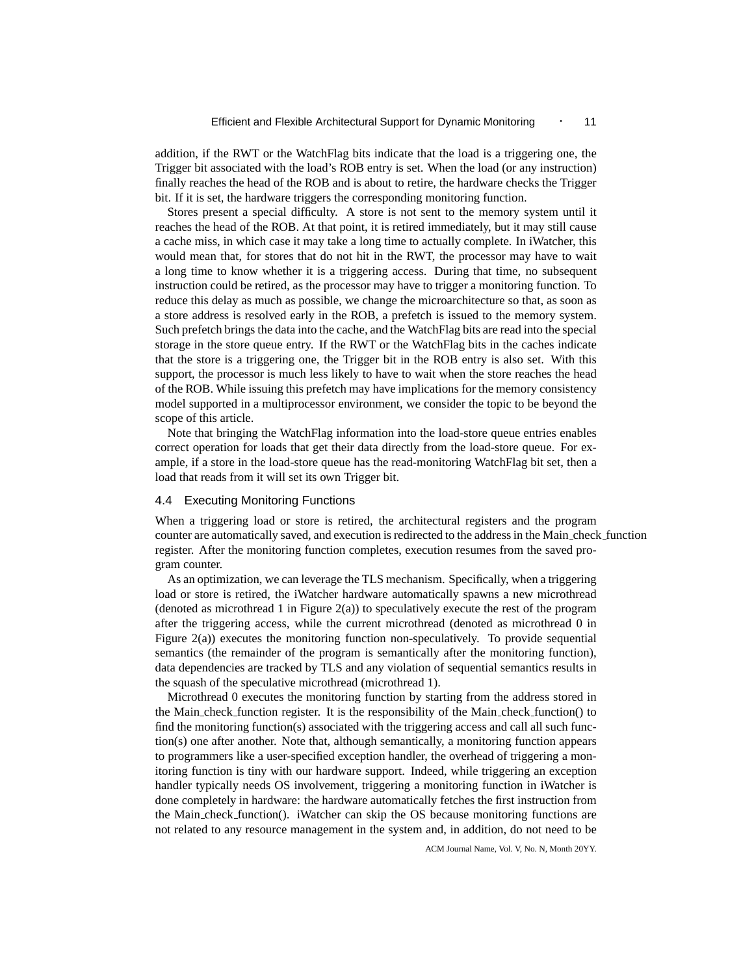addition, if the RWT or the WatchFlag bits indicate that the load is a triggering one, the Trigger bit associated with the load's ROB entry is set. When the load (or any instruction) finally reaches the head of the ROB and is about to retire, the hardware checks the Trigger bit. If it is set, the hardware triggers the corresponding monitoring function.

Stores present a special difficulty. A store is not sent to the memory system until it reaches the head of the ROB. At that point, it is retired immediately, but it may still cause a cache miss, in which case it may take a long time to actually complete. In iWatcher, this would mean that, for stores that do not hit in the RWT, the processor may have to wait a long time to know whether it is a triggering access. During that time, no subsequent instruction could be retired, as the processor may have to trigger a monitoring function. To reduce this delay as much as possible, we change the microarchitecture so that, as soon as a store address is resolved early in the ROB, a prefetch is issued to the memory system. Such prefetch brings the data into the cache, and the WatchFlag bits are read into the special storage in the store queue entry. If the RWT or the WatchFlag bits in the caches indicate that the store is a triggering one, the Trigger bit in the ROB entry is also set. With this support, the processor is much less likely to have to wait when the store reaches the head of the ROB. While issuing this prefetch may have implications for the memory consistency model supported in a multiprocessor environment, we consider the topic to be beyond the scope of this article.

Note that bringing the WatchFlag information into the load-store queue entries enables correct operation for loads that get their data directly from the load-store queue. For example, if a store in the load-store queue has the read-monitoring WatchFlag bit set, then a load that reads from it will set its own Trigger bit.

# 4.4 Executing Monitoring Functions

When a triggering load or store is retired, the architectural registers and the program counter are automatically saved, and execution is redirected to the address in the Main check function register. After the monitoring function completes, execution resumes from the saved program counter.

As an optimization, we can leverage the TLS mechanism. Specifically, when a triggering load or store is retired, the iWatcher hardware automatically spawns a new microthread (denoted as microthread 1 in Figure 2(a)) to speculatively execute the rest of the program after the triggering access, while the current microthread (denoted as microthread 0 in Figure 2(a)) executes the monitoring function non-speculatively. To provide sequential semantics (the remainder of the program is semantically after the monitoring function), data dependencies are tracked by TLS and any violation of sequential semantics results in the squash of the speculative microthread (microthread 1).

Microthread 0 executes the monitoring function by starting from the address stored in the Main check function register. It is the responsibility of the Main check function() to find the monitoring function(s) associated with the triggering access and call all such function(s) one after another. Note that, although semantically, a monitoring function appears to programmers like a user-specified exception handler, the overhead of triggering a monitoring function is tiny with our hardware support. Indeed, while triggering an exception handler typically needs OS involvement, triggering a monitoring function in iWatcher is done completely in hardware: the hardware automatically fetches the first instruction from the Main check function(). iWatcher can skip the OS because monitoring functions are not related to any resource management in the system and, in addition, do not need to be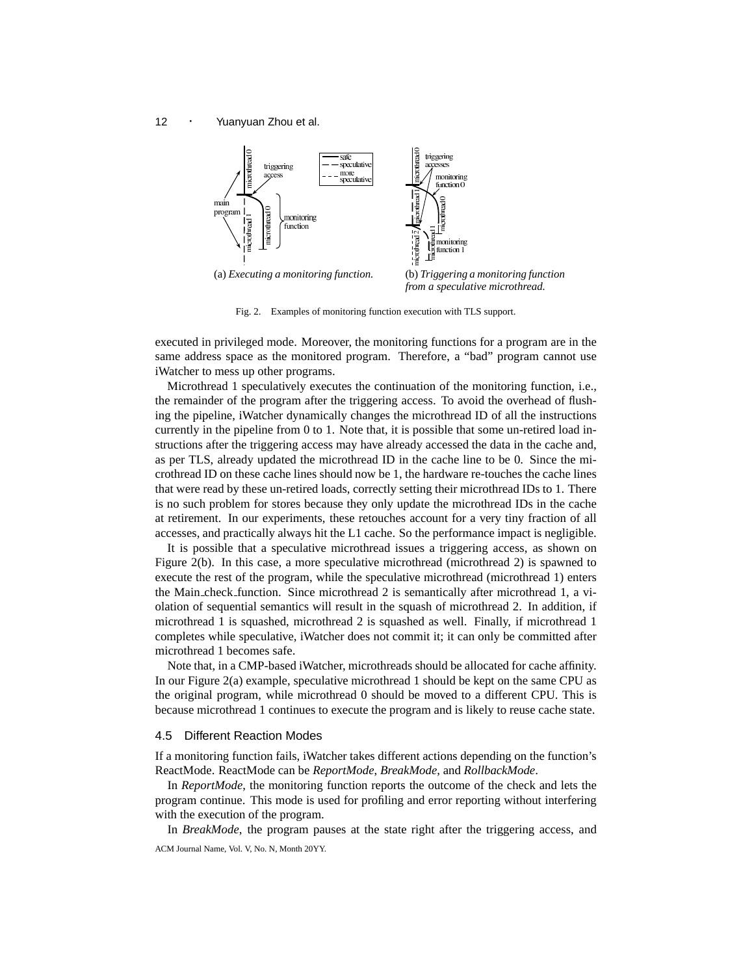12 · Yuanyuan Zhou et al.



Fig. 2. Examples of monitoring function execution with TLS support.

executed in privileged mode. Moreover, the monitoring functions for a program are in the same address space as the monitored program. Therefore, a "bad" program cannot use iWatcher to mess up other programs.

Microthread 1 speculatively executes the continuation of the monitoring function, i.e., the remainder of the program after the triggering access. To avoid the overhead of flushing the pipeline, iWatcher dynamically changes the microthread ID of all the instructions currently in the pipeline from 0 to 1. Note that, it is possible that some un-retired load instructions after the triggering access may have already accessed the data in the cache and, as per TLS, already updated the microthread ID in the cache line to be 0. Since the microthread ID on these cache lines should now be 1, the hardware re-touches the cache lines that were read by these un-retired loads, correctly setting their microthread IDs to 1. There is no such problem for stores because they only update the microthread IDs in the cache at retirement. In our experiments, these retouches account for a very tiny fraction of all accesses, and practically always hit the L1 cache. So the performance impact is negligible.

It is possible that a speculative microthread issues a triggering access, as shown on Figure 2(b). In this case, a more speculative microthread (microthread 2) is spawned to execute the rest of the program, while the speculative microthread (microthread 1) enters the Main check function. Since microthread 2 is semantically after microthread 1, a violation of sequential semantics will result in the squash of microthread 2. In addition, if microthread 1 is squashed, microthread 2 is squashed as well. Finally, if microthread 1 completes while speculative, iWatcher does not commit it; it can only be committed after microthread 1 becomes safe.

Note that, in a CMP-based iWatcher, microthreads should be allocated for cache affinity. In our Figure 2(a) example, speculative microthread 1 should be kept on the same CPU as the original program, while microthread 0 should be moved to a different CPU. This is because microthread 1 continues to execute the program and is likely to reuse cache state.

#### 4.5 Different Reaction Modes

If a monitoring function fails, iWatcher takes different actions depending on the function's ReactMode. ReactMode can be *ReportMode*, *BreakMode*, and *RollbackMode*.

In *ReportMode*, the monitoring function reports the outcome of the check and lets the program continue. This mode is used for profiling and error reporting without interfering with the execution of the program.

In *BreakMode*, the program pauses at the state right after the triggering access, and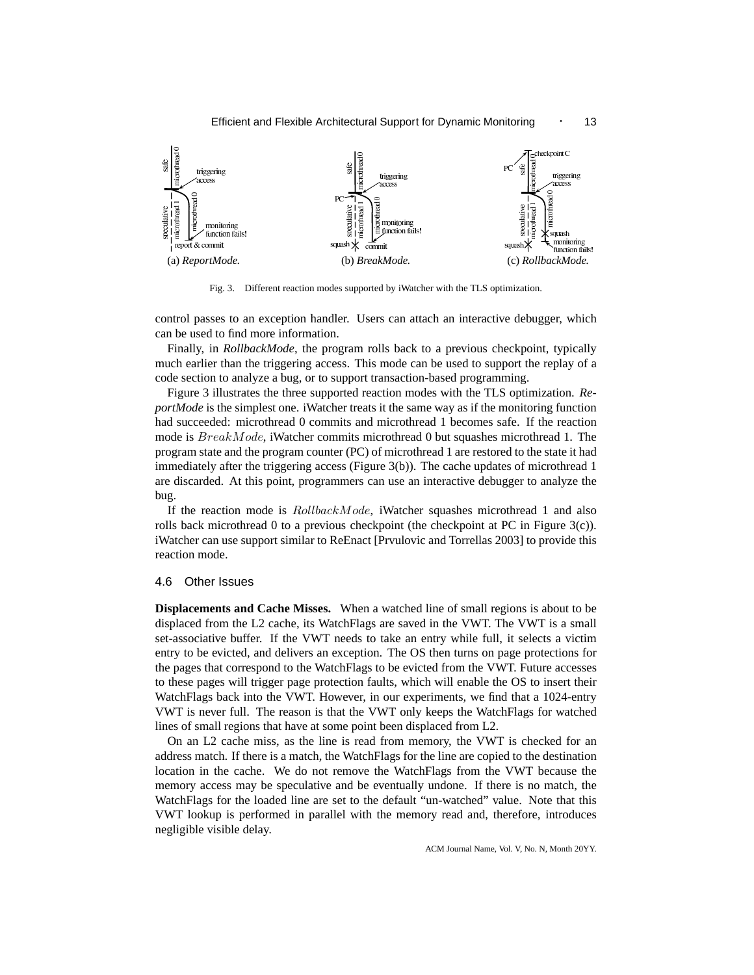

Fig. 3. Different reaction modes supported by iWatcher with the TLS optimization.

control passes to an exception handler. Users can attach an interactive debugger, which can be used to find more information.

Finally, in *RollbackMode*, the program rolls back to a previous checkpoint, typically much earlier than the triggering access. This mode can be used to support the replay of a code section to analyze a bug, or to support transaction-based programming.

Figure 3 illustrates the three supported reaction modes with the TLS optimization. *ReportMode* is the simplest one. *iWatcher treats it the same way as if the monitoring function* had succeeded: microthread 0 commits and microthread 1 becomes safe. If the reaction mode is  $BreakMode$ , iWatcher commits microthread 0 but squashes microthread 1. The program state and the program counter (PC) of microthread 1 are restored to the state it had immediately after the triggering access (Figure 3(b)). The cache updates of microthread 1 are discarded. At this point, programmers can use an interactive debugger to analyze the bug.

If the reaction mode is RollbackMode, iWatcher squashes microthread 1 and also rolls back microthread 0 to a previous checkpoint (the checkpoint at PC in Figure 3(c)). iWatcher can use support similar to ReEnact [Prvulovic and Torrellas 2003] to provide this reaction mode.

#### 4.6 Other Issues

**Displacements and Cache Misses.** When a watched line of small regions is about to be displaced from the L2 cache, its WatchFlags are saved in the VWT. The VWT is a small set-associative buffer. If the VWT needs to take an entry while full, it selects a victim entry to be evicted, and delivers an exception. The OS then turns on page protections for the pages that correspond to the WatchFlags to be evicted from the VWT. Future accesses to these pages will trigger page protection faults, which will enable the OS to insert their WatchFlags back into the VWT. However, in our experiments, we find that a 1024-entry VWT is never full. The reason is that the VWT only keeps the WatchFlags for watched lines of small regions that have at some point been displaced from L2.

On an L2 cache miss, as the line is read from memory, the VWT is checked for an address match. If there is a match, the WatchFlags for the line are copied to the destination location in the cache. We do not remove the WatchFlags from the VWT because the memory access may be speculative and be eventually undone. If there is no match, the WatchFlags for the loaded line are set to the default "un-watched" value. Note that this VWT lookup is performed in parallel with the memory read and, therefore, introduces negligible visible delay.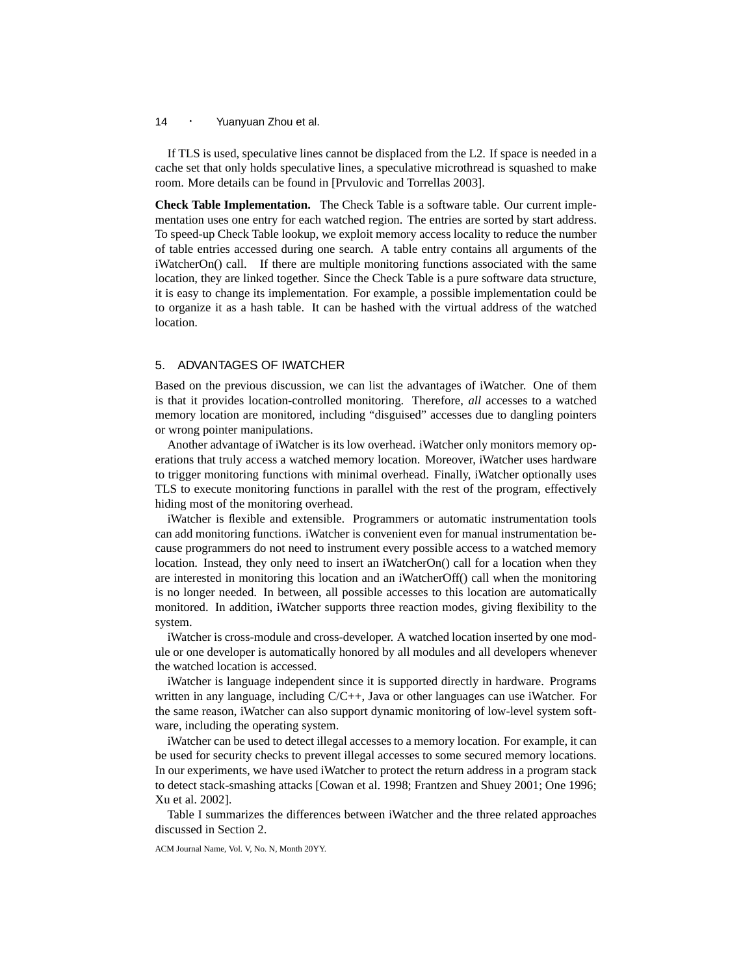If TLS is used, speculative lines cannot be displaced from the L2. If space is needed in a cache set that only holds speculative lines, a speculative microthread is squashed to make room. More details can be found in [Prvulovic and Torrellas 2003].

**Check Table Implementation.** The Check Table is a software table. Our current implementation uses one entry for each watched region. The entries are sorted by start address. To speed-up Check Table lookup, we exploit memory access locality to reduce the number of table entries accessed during one search. A table entry contains all arguments of the iWatcherOn() call. If there are multiple monitoring functions associated with the same location, they are linked together. Since the Check Table is a pure software data structure, it is easy to change its implementation. For example, a possible implementation could be to organize it as a hash table. It can be hashed with the virtual address of the watched location.

# 5. ADVANTAGES OF IWATCHER

Based on the previous discussion, we can list the advantages of iWatcher. One of them is that it provides location-controlled monitoring. Therefore, *all* accesses to a watched memory location are monitored, including "disguised" accesses due to dangling pointers or wrong pointer manipulations.

Another advantage of iWatcher is its low overhead. iWatcher only monitors memory operations that truly access a watched memory location. Moreover, iWatcher uses hardware to trigger monitoring functions with minimal overhead. Finally, iWatcher optionally uses TLS to execute monitoring functions in parallel with the rest of the program, effectively hiding most of the monitoring overhead.

iWatcher is flexible and extensible. Programmers or automatic instrumentation tools can add monitoring functions. iWatcher is convenient even for manual instrumentation because programmers do not need to instrument every possible access to a watched memory location. Instead, they only need to insert an iWatcherOn() call for a location when they are interested in monitoring this location and an iWatcherOff() call when the monitoring is no longer needed. In between, all possible accesses to this location are automatically monitored. In addition, iWatcher supports three reaction modes, giving flexibility to the system.

iWatcher is cross-module and cross-developer. A watched location inserted by one module or one developer is automatically honored by all modules and all developers whenever the watched location is accessed.

iWatcher is language independent since it is supported directly in hardware. Programs written in any language, including C/C++, Java or other languages can use iWatcher. For the same reason, iWatcher can also support dynamic monitoring of low-level system software, including the operating system.

iWatcher can be used to detect illegal accesses to a memory location. For example, it can be used for security checks to prevent illegal accesses to some secured memory locations. In our experiments, we have used iWatcher to protect the return address in a program stack to detect stack-smashing attacks [Cowan et al. 1998; Frantzen and Shuey 2001; One 1996; Xu et al. 2002].

Table I summarizes the differences between iWatcher and the three related approaches discussed in Section 2.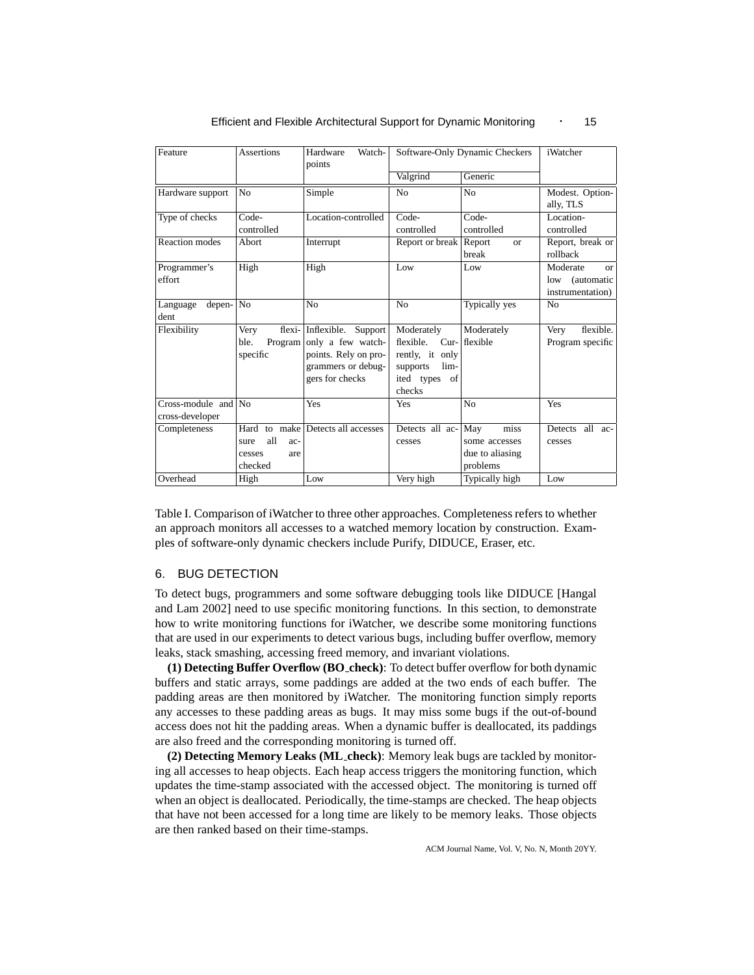| Feature                                | Assertions                                     | Watch-<br>Hardware<br>points                                                                                     | Software-Only Dynamic Checkers                                                            | iWatcher                                                    |                                                                            |
|----------------------------------------|------------------------------------------------|------------------------------------------------------------------------------------------------------------------|-------------------------------------------------------------------------------------------|-------------------------------------------------------------|----------------------------------------------------------------------------|
|                                        |                                                |                                                                                                                  | Valgrind                                                                                  | Generic                                                     |                                                                            |
| Hardware support                       | N <sub>0</sub>                                 | Simple                                                                                                           | N <sub>0</sub>                                                                            | N <sub>0</sub>                                              | Modest. Option-<br>ally, TLS                                               |
| Type of checks                         | Code-<br>controlled                            | Location-controlled                                                                                              | Code-<br>controlled                                                                       | Code-<br>controlled                                         | Location-<br>controlled                                                    |
| <b>Reaction modes</b>                  | Abort                                          | Interrupt                                                                                                        | Report or break Report                                                                    | <b>or</b><br>break                                          | Report, break or<br>rollback                                               |
| Programmer's<br>effort                 | High                                           | High                                                                                                             | Low                                                                                       | Low                                                         | Moderate<br><sub>or</sub><br><i>(automatic)</i><br>low<br>instrumentation) |
| depen-No<br>Language<br>dent           |                                                | No                                                                                                               | N <sub>o</sub>                                                                            | Typically yes                                               | N <sub>o</sub>                                                             |
| Flexibility                            | Very<br>Program<br>ble.<br>specific            | flexi- Inflexible. Support<br>only a few watch-<br>points. Rely on pro-<br>grammers or debug-<br>gers for checks | Moderately<br>flexible.<br>rently, it only<br>lim-<br>supports<br>ited types of<br>checks | Moderately<br>Cur-Hexible                                   | flexible.<br>Very<br>Program specific                                      |
| Cross-module and No<br>cross-developer |                                                | Yes                                                                                                              | Yes                                                                                       | N <sub>o</sub>                                              | Yes                                                                        |
| Completeness                           | all<br>ac-<br>sure<br>cesses<br>are<br>checked | Hard to make Detects all accesses                                                                                | Detects all ac-<br>cesses                                                                 | miss<br>May<br>some accesses<br>due to aliasing<br>problems | Detects all ac-<br>cesses                                                  |
| Overhead                               | High                                           | Low                                                                                                              | Very high                                                                                 | Typically high                                              | Low                                                                        |

Table I. Comparison of iWatcher to three other approaches. Completeness refers to whether an approach monitors all accesses to a watched memory location by construction. Examples of software-only dynamic checkers include Purify, DIDUCE, Eraser, etc.

# 6. BUG DETECTION

To detect bugs, programmers and some software debugging tools like DIDUCE [Hangal and Lam 2002] need to use specific monitoring functions. In this section, to demonstrate how to write monitoring functions for iWatcher, we describe some monitoring functions that are used in our experiments to detect various bugs, including buffer overflow, memory leaks, stack smashing, accessing freed memory, and invariant violations.

**(1) Detecting Buffer Overflow (BO check)**: To detect buffer overflow for both dynamic buffers and static arrays, some paddings are added at the two ends of each buffer. The padding areas are then monitored by iWatcher. The monitoring function simply reports any accesses to these padding areas as bugs. It may miss some bugs if the out-of-bound access does not hit the padding areas. When a dynamic buffer is deallocated, its paddings are also freed and the corresponding monitoring is turned off.

**(2) Detecting Memory Leaks (ML check)**: Memory leak bugs are tackled by monitoring all accesses to heap objects. Each heap access triggers the monitoring function, which updates the time-stamp associated with the accessed object. The monitoring is turned off when an object is deallocated. Periodically, the time-stamps are checked. The heap objects that have not been accessed for a long time are likely to be memory leaks. Those objects are then ranked based on their time-stamps.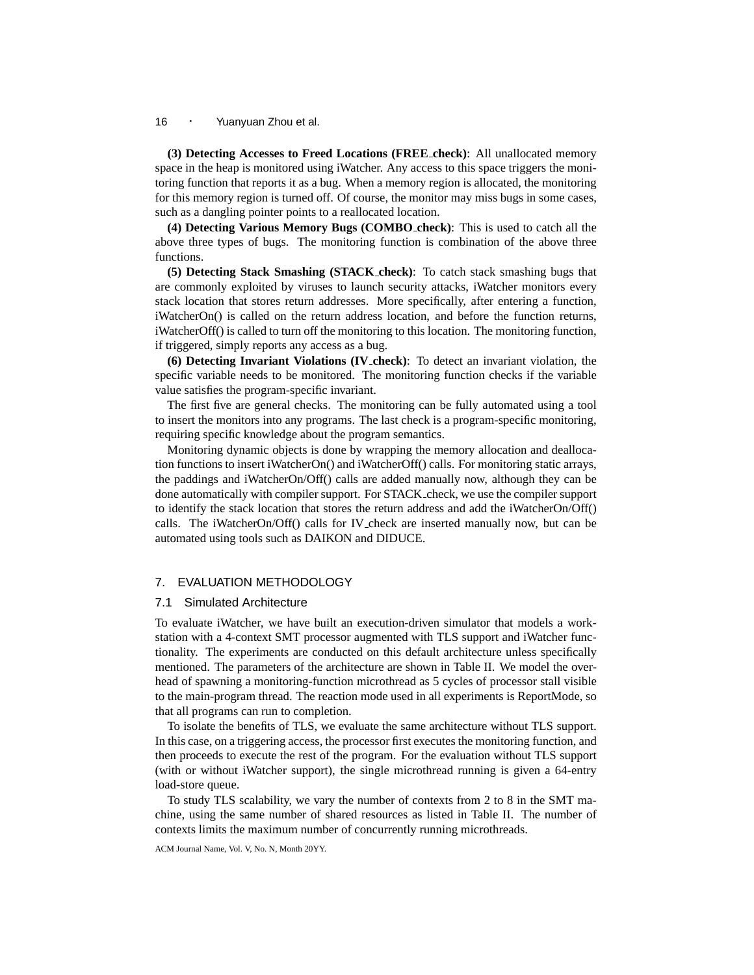**(3) Detecting Accesses to Freed Locations (FREE check)**: All unallocated memory space in the heap is monitored using iWatcher. Any access to this space triggers the monitoring function that reports it as a bug. When a memory region is allocated, the monitoring for this memory region is turned off. Of course, the monitor may miss bugs in some cases, such as a dangling pointer points to a reallocated location.

**(4) Detecting Various Memory Bugs (COMBO check)**: This is used to catch all the above three types of bugs. The monitoring function is combination of the above three functions.

**(5) Detecting Stack Smashing (STACK check)**: To catch stack smashing bugs that are commonly exploited by viruses to launch security attacks, iWatcher monitors every stack location that stores return addresses. More specifically, after entering a function, iWatcherOn() is called on the return address location, and before the function returns, iWatcherOff() is called to turn off the monitoring to this location. The monitoring function, if triggered, simply reports any access as a bug.

**(6) Detecting Invariant Violations (IV check)**: To detect an invariant violation, the specific variable needs to be monitored. The monitoring function checks if the variable value satisfies the program-specific invariant.

The first five are general checks. The monitoring can be fully automated using a tool to insert the monitors into any programs. The last check is a program-specific monitoring, requiring specific knowledge about the program semantics.

Monitoring dynamic objects is done by wrapping the memory allocation and deallocation functions to insert iWatcherOn() and iWatcherOff() calls. For monitoring static arrays, the paddings and iWatcherOn/Off() calls are added manually now, although they can be done automatically with compiler support. For STACK check, we use the compiler support to identify the stack location that stores the return address and add the iWatcherOn/Off() calls. The iWatcherOn/Off() calls for IV check are inserted manually now, but can be automated using tools such as DAIKON and DIDUCE.

# 7. EVALUATION METHODOLOGY

# 7.1 Simulated Architecture

To evaluate iWatcher, we have built an execution-driven simulator that models a workstation with a 4-context SMT processor augmented with TLS support and iWatcher functionality. The experiments are conducted on this default architecture unless specifically mentioned. The parameters of the architecture are shown in Table II. We model the overhead of spawning a monitoring-function microthread as 5 cycles of processor stall visible to the main-program thread. The reaction mode used in all experiments is ReportMode, so that all programs can run to completion.

To isolate the benefits of TLS, we evaluate the same architecture without TLS support. In this case, on a triggering access, the processor first executes the monitoring function, and then proceeds to execute the rest of the program. For the evaluation without TLS support (with or without iWatcher support), the single microthread running is given a 64-entry load-store queue.

To study TLS scalability, we vary the number of contexts from 2 to 8 in the SMT machine, using the same number of shared resources as listed in Table II. The number of contexts limits the maximum number of concurrently running microthreads.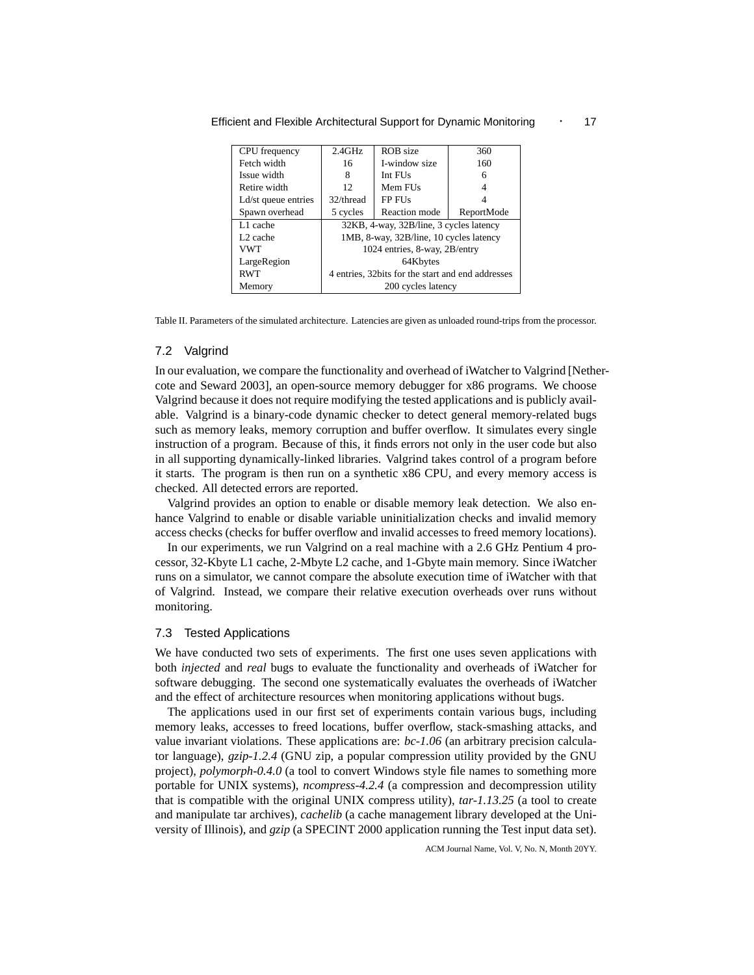| CPU frequency        | $2.4$ GHz                               | ROB size                                          | 360        |  |  |
|----------------------|-----------------------------------------|---------------------------------------------------|------------|--|--|
| Fetch width          | 16                                      | I-window size                                     | 160        |  |  |
| Issue width          | 8                                       | Int FUs                                           | 6          |  |  |
| Retire width         | 12                                      | Mem FUs                                           |            |  |  |
| Ld/st queue entries  | 32/thread                               | FP FUs                                            |            |  |  |
| Spawn overhead       | 5 cycles                                | Reaction mode                                     | ReportMode |  |  |
|                      | 32KB, 4-way, 32B/line, 3 cycles latency |                                                   |            |  |  |
| L1 cache             |                                         |                                                   |            |  |  |
| L <sub>2</sub> cache |                                         | 1MB, 8-way, 32B/line, 10 cycles latency           |            |  |  |
| <b>VWT</b>           |                                         | 1024 entries, 8-way, 2B/entry                     |            |  |  |
| LargeRegion          |                                         | 64Kbytes                                          |            |  |  |
| <b>RWT</b>           |                                         | 4 entries, 32bits for the start and end addresses |            |  |  |

Table II. Parameters of the simulated architecture. Latencies are given as unloaded round-trips from the processor.

## 7.2 Valgrind

In our evaluation, we compare the functionality and overhead of iWatcher to Valgrind [Nethercote and Seward 2003], an open-source memory debugger for x86 programs. We choose Valgrind because it does not require modifying the tested applications and is publicly available. Valgrind is a binary-code dynamic checker to detect general memory-related bugs such as memory leaks, memory corruption and buffer overflow. It simulates every single instruction of a program. Because of this, it finds errors not only in the user code but also in all supporting dynamically-linked libraries. Valgrind takes control of a program before it starts. The program is then run on a synthetic x86 CPU, and every memory access is checked. All detected errors are reported.

Valgrind provides an option to enable or disable memory leak detection. We also enhance Valgrind to enable or disable variable uninitialization checks and invalid memory access checks (checks for buffer overflow and invalid accesses to freed memory locations).

In our experiments, we run Valgrind on a real machine with a 2.6 GHz Pentium 4 processor, 32-Kbyte L1 cache, 2-Mbyte L2 cache, and 1-Gbyte main memory. Since iWatcher runs on a simulator, we cannot compare the absolute execution time of iWatcher with that of Valgrind. Instead, we compare their relative execution overheads over runs without monitoring.

# 7.3 Tested Applications

We have conducted two sets of experiments. The first one uses seven applications with both *injected* and *real* bugs to evaluate the functionality and overheads of iWatcher for software debugging. The second one systematically evaluates the overheads of iWatcher and the effect of architecture resources when monitoring applications without bugs.

The applications used in our first set of experiments contain various bugs, including memory leaks, accesses to freed locations, buffer overflow, stack-smashing attacks, and value invariant violations. These applications are: *bc-1.06* (an arbitrary precision calculator language), *gzip-1.2.4* (GNU zip, a popular compression utility provided by the GNU project), *polymorph-0.4.0* (a tool to convert Windows style file names to something more portable for UNIX systems), *ncompress-4.2.4* (a compression and decompression utility that is compatible with the original UNIX compress utility), *tar-1.13.25* (a tool to create and manipulate tar archives), *cachelib* (a cache management library developed at the University of Illinois), and *gzip* (a SPECINT 2000 application running the Test input data set).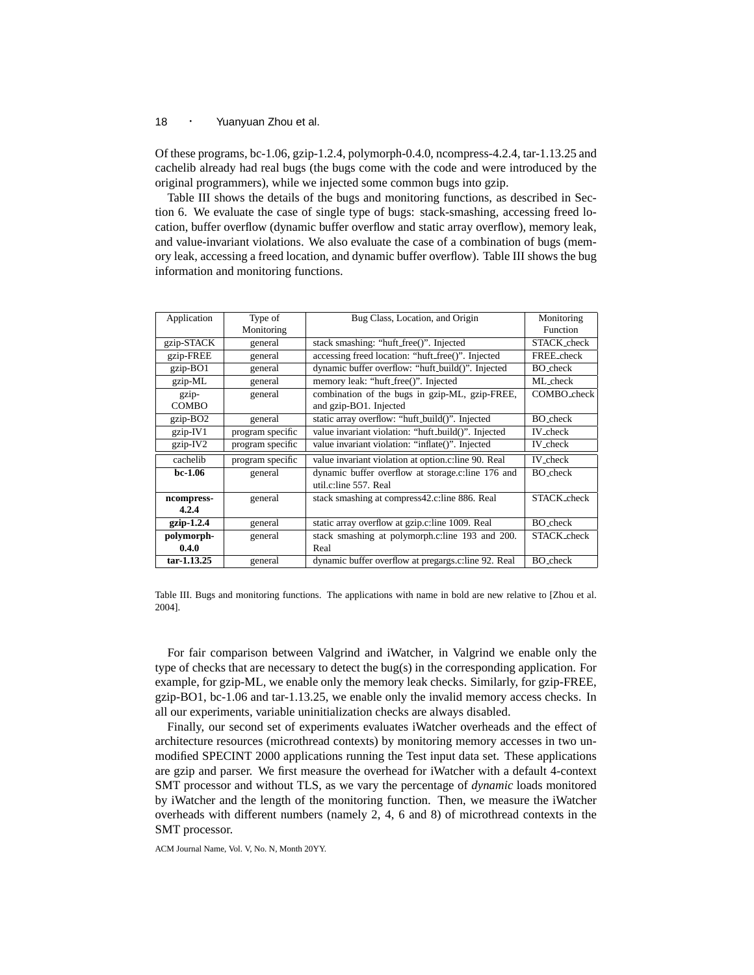Of these programs, bc-1.06, gzip-1.2.4, polymorph-0.4.0, ncompress-4.2.4, tar-1.13.25 and cachelib already had real bugs (the bugs come with the code and were introduced by the original programmers), while we injected some common bugs into gzip.

Table III shows the details of the bugs and monitoring functions, as described in Section 6. We evaluate the case of single type of bugs: stack-smashing, accessing freed location, buffer overflow (dynamic buffer overflow and static array overflow), memory leak, and value-invariant violations. We also evaluate the case of a combination of bugs (memory leak, accessing a freed location, and dynamic buffer overflow). Table III shows the bug information and monitoring functions.

| Application  | Type of          | Bug Class, Location, and Origin                     | Monitoring      |
|--------------|------------------|-----------------------------------------------------|-----------------|
|              | Monitoring       |                                                     | Function        |
| gzip-STACK   | general          | stack smashing: "huft_free()". Injected             | STACK check     |
| gzip-FREE    | general          | accessing freed location: "huft_free()". Injected   | FREE_check      |
| $gzip-BO1$   | general          | dynamic buffer overflow: "huft_build()". Injected   | <b>BO_check</b> |
| gzip-ML      | general          | memory leak: "huft_free()". Injected                | ML_check        |
| gzip-        | general          | combination of the bugs in gzip-ML, gzip-FREE,      | COMBO_check     |
| <b>COMBO</b> |                  | and gzip-BO1. Injected                              |                 |
| $gzip-BO2$   | general          | static array overflow: "huft_build()". Injected     | BO_check        |
| gzip-IV1     | program specific | value invariant violation: "huft_build()". Injected | IV_check        |
| gzip-IV2     | program specific | value invariant violation: "inflate()". Injected    | IV check        |
| cachelib     | program specific | value invariant violation at option.c:line 90. Real | IV check        |
| $bc-1.06$    | general          | dynamic buffer overflow at storage.c:line 176 and   | <b>BO</b> check |
|              |                  | util.c:line 557. Real                               |                 |
| ncompress-   | general          | stack smashing at compress42.c:line 886. Real       | STACK check     |
| 4.2.4        |                  |                                                     |                 |
| gzip-1.2.4   | general          | static array overflow at gzip.c:line 1009. Real     | BO_check        |
| polymorph-   | general          | stack smashing at polymorph.c:line 193 and 200.     | STACK check     |
| 0.4.0        |                  | Real                                                |                 |
| tar-1.13.25  | general          | dynamic buffer overflow at pregargs.c:line 92. Real | <b>BO</b> check |

Table III. Bugs and monitoring functions. The applications with name in bold are new relative to [Zhou et al. 2004].

For fair comparison between Valgrind and iWatcher, in Valgrind we enable only the type of checks that are necessary to detect the bug(s) in the corresponding application. For example, for gzip-ML, we enable only the memory leak checks. Similarly, for gzip-FREE, gzip-BO1, bc-1.06 and tar-1.13.25, we enable only the invalid memory access checks. In all our experiments, variable uninitialization checks are always disabled.

Finally, our second set of experiments evaluates iWatcher overheads and the effect of architecture resources (microthread contexts) by monitoring memory accesses in two unmodified SPECINT 2000 applications running the Test input data set. These applications are gzip and parser. We first measure the overhead for iWatcher with a default 4-context SMT processor and without TLS, as we vary the percentage of *dynamic* loads monitored by iWatcher and the length of the monitoring function. Then, we measure the iWatcher overheads with different numbers (namely 2, 4, 6 and 8) of microthread contexts in the SMT processor.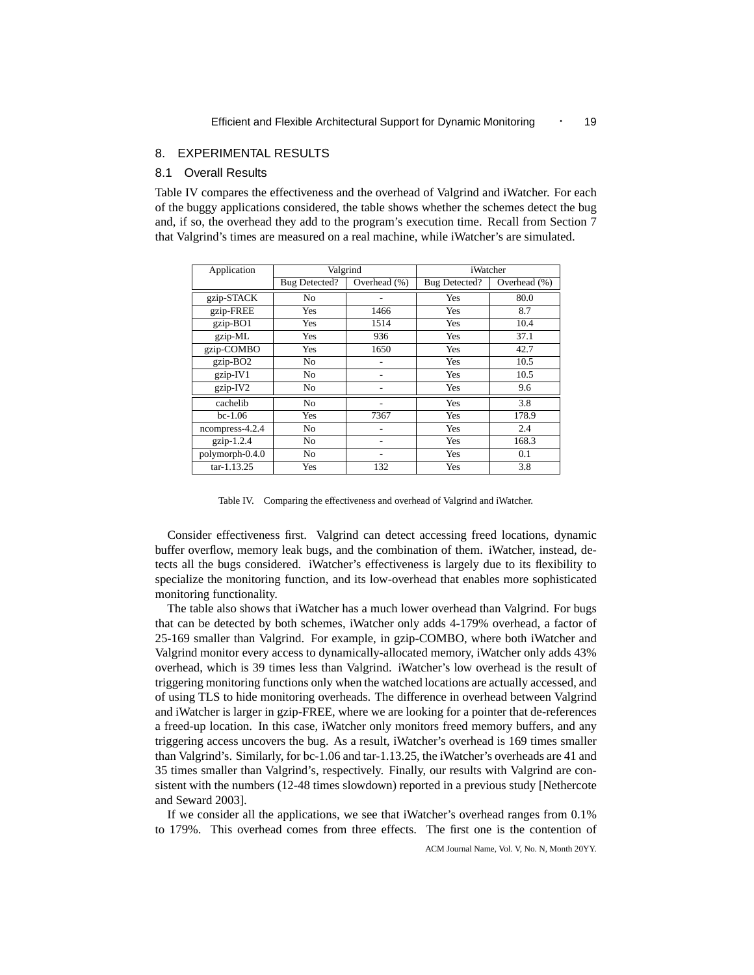# 8. EXPERIMENTAL RESULTS

# 8.1 Overall Results

Table IV compares the effectiveness and the overhead of Valgrind and iWatcher. For each of the buggy applications considered, the table shows whether the schemes detect the bug and, if so, the overhead they add to the program's execution time. Recall from Section 7 that Valgrind's times are measured on a real machine, while iWatcher's are simulated.

| Application     | Valgrind       |              | iWatcher      |              |  |
|-----------------|----------------|--------------|---------------|--------------|--|
|                 | Bug Detected?  | Overhead (%) | Bug Detected? | Overhead (%) |  |
| gzip-STACK      | No             |              | Yes           | 80.0         |  |
| gzip-FREE       | Yes            | 1466         | Yes           | 8.7          |  |
| gzip-BO1        | Yes            | 1514         | Yes           | 10.4         |  |
| gzip-ML         | Yes            | 936          | Yes           | 37.1         |  |
| gzip-COMBO      | Yes            | 1650         | Yes           | 42.7         |  |
| gzip-BO2        | No             |              | Yes           | 10.5         |  |
| gzip-IV1        | No             |              | Yes           | 10.5         |  |
| gzip-IV2        | No             |              | Yes           | 9.6          |  |
| cachelib        | N <sub>o</sub> |              | Yes           | 3.8          |  |
| $bc-1.06$       | Yes            | 7367         | Yes           | 178.9        |  |
| ncompress-4.2.4 | No             | ٠            | Yes           | 2.4          |  |
| gzip-1.2.4      | No             |              | Yes           | 168.3        |  |
| polymorph-0.4.0 | N <sub>0</sub> |              | Yes           | 0.1          |  |
| tar-1.13.25     | Yes            | 132          | Yes           | 3.8          |  |

Table IV. Comparing the effectiveness and overhead of Valgrind and iWatcher.

Consider effectiveness first. Valgrind can detect accessing freed locations, dynamic buffer overflow, memory leak bugs, and the combination of them. iWatcher, instead, detects all the bugs considered. iWatcher's effectiveness is largely due to its flexibility to specialize the monitoring function, and its low-overhead that enables more sophisticated monitoring functionality.

The table also shows that iWatcher has a much lower overhead than Valgrind. For bugs that can be detected by both schemes, iWatcher only adds 4-179% overhead, a factor of 25-169 smaller than Valgrind. For example, in gzip-COMBO, where both iWatcher and Valgrind monitor every access to dynamically-allocated memory, iWatcher only adds 43% overhead, which is 39 times less than Valgrind. iWatcher's low overhead is the result of triggering monitoring functions only when the watched locations are actually accessed, and of using TLS to hide monitoring overheads. The difference in overhead between Valgrind and iWatcher is larger in gzip-FREE, where we are looking for a pointer that de-references a freed-up location. In this case, iWatcher only monitors freed memory buffers, and any triggering access uncovers the bug. As a result, iWatcher's overhead is 169 times smaller than Valgrind's. Similarly, for bc-1.06 and tar-1.13.25, the iWatcher's overheads are 41 and 35 times smaller than Valgrind's, respectively. Finally, our results with Valgrind are consistent with the numbers (12-48 times slowdown) reported in a previous study [Nethercote and Seward 2003].

If we consider all the applications, we see that iWatcher's overhead ranges from 0.1% to 179%. This overhead comes from three effects. The first one is the contention of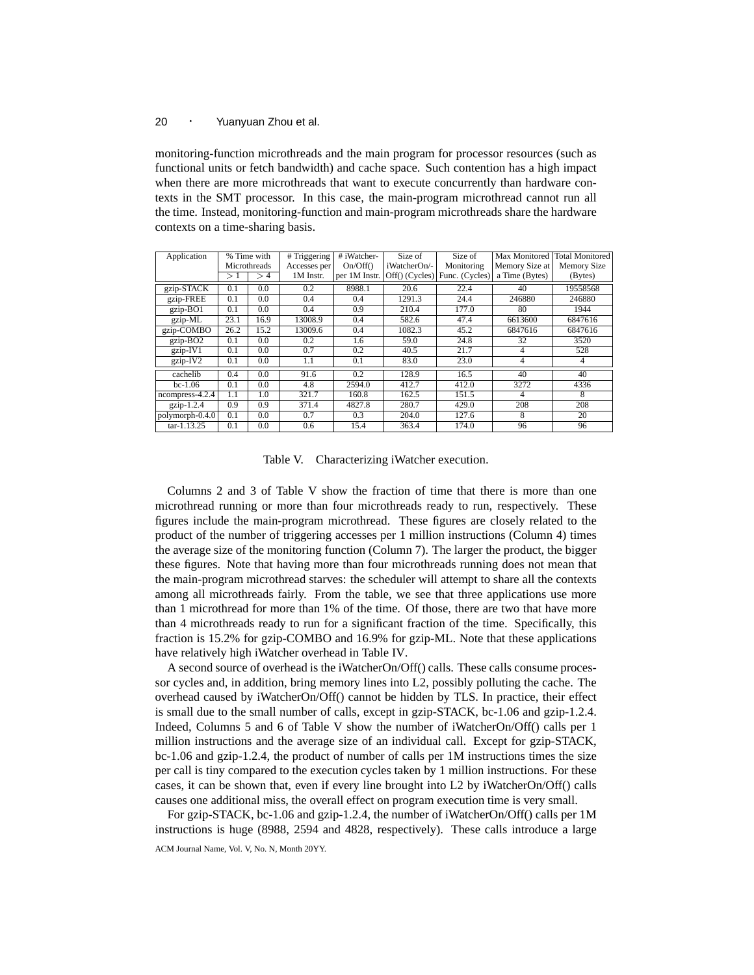monitoring-function microthreads and the main program for processor resources (such as functional units or fetch bandwidth) and cache space. Such contention has a high impact when there are more microthreads that want to execute concurrently than hardware contexts in the SMT processor. In this case, the main-program microthread cannot run all the time. Instead, monitoring-function and main-program microthreads share the hardware contexts on a time-sharing basis.

| Application       | % Time with  |      | #Triggering  | # iWatcher-   | Size of      | Size of                       |                | Max Monitored Total Monitored |
|-------------------|--------------|------|--------------|---------------|--------------|-------------------------------|----------------|-------------------------------|
|                   | Microthreads |      | Accesses per | On/Off()      | iWatcherOn/- | Monitoring                    | Memory Size at | <b>Memory Size</b>            |
|                   | >            | >4   | 1M Instr.    | per 1M Instr. |              | Off() (Cycles) Func. (Cycles) | a Time (Bytes) | (Bytes)                       |
| gzip-STACK        | 0.1          | 0.0  | 0.2          | 8988.1        | 20.6         | 22.4                          | 40             | 19558568                      |
| gzip-FREE         | 0.1          | 0.0  | 0.4          | 0.4           | 1291.3       | 24.4                          | 246880         | 246880                        |
| gzip-BO1          | 0.1          | 0.0  | 0.4          | 0.9           | 210.4        | 177.0                         | 80             | 1944                          |
| gzip-ML           | 23.1         | 16.9 | 13008.9      | 0.4           | 582.6        | 47.4                          | 6613600        | 6847616                       |
| gzip-COMBO        | 26.2         | 15.2 | 13009.6      | 0.4           | 1082.3       | 45.2                          | 6847616        | 6847616                       |
| gzip-BO2          | 0.1          | 0.0  | 0.2          | 1.6           | 59.0         | 24.8                          | 32             | 3520                          |
| gzip-IV1          | 0.1          | 0.0  | 0.7          | 0.2           | 40.5         | 21.7                          | 4              | 528                           |
| gzip-IV2          | 0.1          | 0.0  | 1.1          | 0.1           | 83.0         | 23.0                          | 4              | 4                             |
| cachelib          | 0.4          | 0.0  | 91.6         | 0.2           | 128.9        | 16.5                          | 40             | 40                            |
| $bc-1.06$         | 0.1          | 0.0  | 4.8          | 2594.0        | 412.7        | 412.0                         | 3272           | 4336                          |
| $ncompress-4.2.4$ | 1.1          | 1.0  | 321.7        | 160.8         | 162.5        | 151.5                         | 4              | 8                             |
| $gzip-1.2.4$      | 0.9          | 0.9  | 371.4        | 4827.8        | 280.7        | 429.0                         | 208            | 208                           |
| $polymorph-0.4.0$ | 0.1          | 0.0  | 0.7          | 0.3           | 204.0        | 127.6                         | 8              | 20                            |
| tar-1.13.25       | 0.1          | 0.0  | 0.6          | 15.4          | 363.4        | 174.0                         | 96             | 96                            |

Table V. Characterizing iWatcher execution.

Columns 2 and 3 of Table V show the fraction of time that there is more than one microthread running or more than four microthreads ready to run, respectively. These figures include the main-program microthread. These figures are closely related to the product of the number of triggering accesses per 1 million instructions (Column 4) times the average size of the monitoring function (Column 7). The larger the product, the bigger these figures. Note that having more than four microthreads running does not mean that the main-program microthread starves: the scheduler will attempt to share all the contexts among all microthreads fairly. From the table, we see that three applications use more than 1 microthread for more than 1% of the time. Of those, there are two that have more than 4 microthreads ready to run for a significant fraction of the time. Specifically, this fraction is 15.2% for gzip-COMBO and 16.9% for gzip-ML. Note that these applications have relatively high iWatcher overhead in Table IV.

A second source of overhead is the iWatcherOn/Off() calls. These calls consume processor cycles and, in addition, bring memory lines into L2, possibly polluting the cache. The overhead caused by iWatcherOn/Off() cannot be hidden by TLS. In practice, their effect is small due to the small number of calls, except in gzip-STACK, bc-1.06 and gzip-1.2.4. Indeed, Columns 5 and 6 of Table V show the number of iWatcherOn/Off() calls per 1 million instructions and the average size of an individual call. Except for gzip-STACK, bc-1.06 and gzip-1.2.4, the product of number of calls per 1M instructions times the size per call is tiny compared to the execution cycles taken by 1 million instructions. For these cases, it can be shown that, even if every line brought into L2 by iWatcherOn/Off() calls causes one additional miss, the overall effect on program execution time is very small.

For gzip-STACK, bc-1.06 and gzip-1.2.4, the number of iWatcherOn/Off() calls per 1M instructions is huge (8988, 2594 and 4828, respectively). These calls introduce a large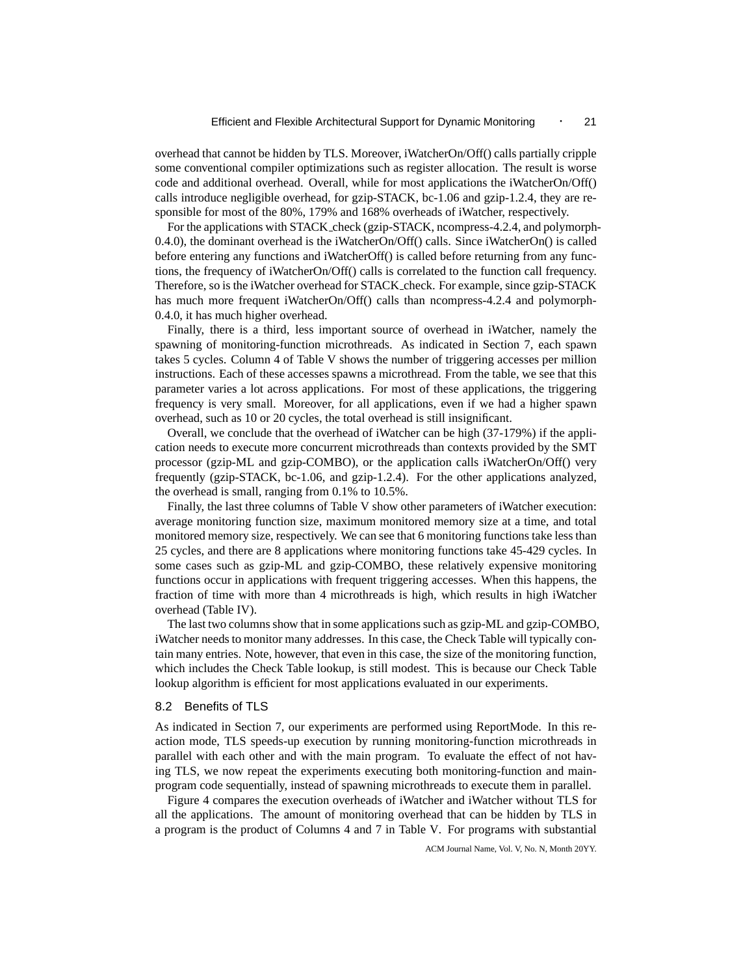overhead that cannot be hidden by TLS. Moreover, iWatcherOn/Off() calls partially cripple some conventional compiler optimizations such as register allocation. The result is worse code and additional overhead. Overall, while for most applications the iWatcherOn/Off() calls introduce negligible overhead, for gzip-STACK, bc-1.06 and gzip-1.2.4, they are responsible for most of the 80%, 179% and 168% overheads of iWatcher, respectively.

For the applications with STACK check (gzip-STACK, ncompress-4.2.4, and polymorph-0.4.0), the dominant overhead is the iWatcherOn/Off() calls. Since iWatcherOn() is called before entering any functions and iWatcherOff() is called before returning from any functions, the frequency of iWatcherOn/Off() calls is correlated to the function call frequency. Therefore, so is the iWatcher overhead for STACK check. For example, since gzip-STACK has much more frequent iWatcherOn/Off() calls than ncompress-4.2.4 and polymorph-0.4.0, it has much higher overhead.

Finally, there is a third, less important source of overhead in iWatcher, namely the spawning of monitoring-function microthreads. As indicated in Section 7, each spawn takes 5 cycles. Column 4 of Table V shows the number of triggering accesses per million instructions. Each of these accesses spawns a microthread. From the table, we see that this parameter varies a lot across applications. For most of these applications, the triggering frequency is very small. Moreover, for all applications, even if we had a higher spawn overhead, such as 10 or 20 cycles, the total overhead is still insignificant.

Overall, we conclude that the overhead of iWatcher can be high (37-179%) if the application needs to execute more concurrent microthreads than contexts provided by the SMT processor (gzip-ML and gzip-COMBO), or the application calls iWatcherOn/Off() very frequently (gzip-STACK, bc-1.06, and gzip-1.2.4). For the other applications analyzed, the overhead is small, ranging from 0.1% to 10.5%.

Finally, the last three columns of Table V show other parameters of iWatcher execution: average monitoring function size, maximum monitored memory size at a time, and total monitored memory size, respectively. We can see that 6 monitoring functions take less than 25 cycles, and there are 8 applications where monitoring functions take 45-429 cycles. In some cases such as gzip-ML and gzip-COMBO, these relatively expensive monitoring functions occur in applications with frequent triggering accesses. When this happens, the fraction of time with more than 4 microthreads is high, which results in high iWatcher overhead (Table IV).

The last two columns show that in some applications such as gzip-ML and gzip-COMBO, iWatcher needs to monitor many addresses. In this case, the Check Table will typically contain many entries. Note, however, that even in this case, the size of the monitoring function, which includes the Check Table lookup, is still modest. This is because our Check Table lookup algorithm is efficient for most applications evaluated in our experiments.

#### 8.2 Benefits of TLS

As indicated in Section 7, our experiments are performed using ReportMode. In this reaction mode, TLS speeds-up execution by running monitoring-function microthreads in parallel with each other and with the main program. To evaluate the effect of not having TLS, we now repeat the experiments executing both monitoring-function and mainprogram code sequentially, instead of spawning microthreads to execute them in parallel.

Figure 4 compares the execution overheads of iWatcher and iWatcher without TLS for all the applications. The amount of monitoring overhead that can be hidden by TLS in a program is the product of Columns 4 and 7 in Table V. For programs with substantial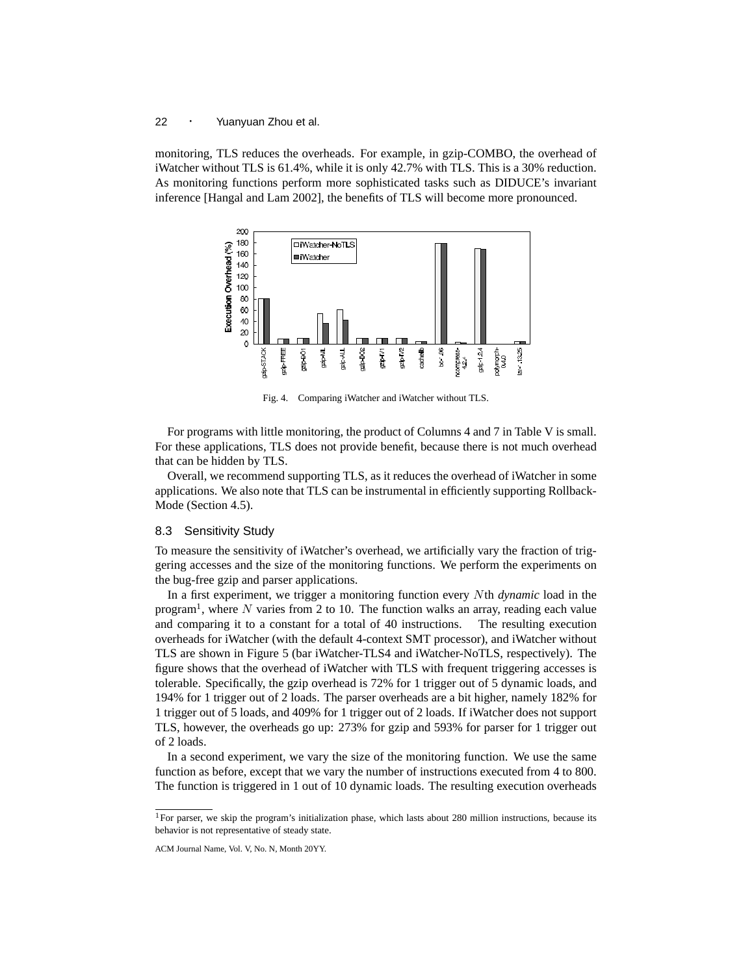monitoring, TLS reduces the overheads. For example, in gzip-COMBO, the overhead of iWatcher without TLS is 61.4%, while it is only 42.7% with TLS. This is a 30% reduction. As monitoring functions perform more sophisticated tasks such as DIDUCE's invariant inference [Hangal and Lam 2002], the benefits of TLS will become more pronounced.



Fig. 4. Comparing iWatcher and iWatcher without TLS.

For programs with little monitoring, the product of Columns 4 and 7 in Table V is small. For these applications, TLS does not provide benefit, because there is not much overhead that can be hidden by TLS.

Overall, we recommend supporting TLS, as it reduces the overhead of iWatcher in some applications. We also note that TLS can be instrumental in efficiently supporting Rollback-Mode (Section 4.5).

# 8.3 Sensitivity Study

To measure the sensitivity of iWatcher's overhead, we artificially vary the fraction of triggering accesses and the size of the monitoring functions. We perform the experiments on the bug-free gzip and parser applications.

In a first experiment, we trigger a monitoring function every Nth *dynamic* load in the program<sup>1</sup>, where N varies from 2 to 10. The function walks an array, reading each value and comparing it to a constant for a total of 40 instructions. The resulting execution overheads for iWatcher (with the default 4-context SMT processor), and iWatcher without TLS are shown in Figure 5 (bar iWatcher-TLS4 and iWatcher-NoTLS, respectively). The figure shows that the overhead of iWatcher with TLS with frequent triggering accesses is tolerable. Specifically, the gzip overhead is 72% for 1 trigger out of 5 dynamic loads, and 194% for 1 trigger out of 2 loads. The parser overheads are a bit higher, namely 182% for 1 trigger out of 5 loads, and 409% for 1 trigger out of 2 loads. If iWatcher does not support TLS, however, the overheads go up: 273% for gzip and 593% for parser for 1 trigger out of 2 loads.

In a second experiment, we vary the size of the monitoring function. We use the same function as before, except that we vary the number of instructions executed from 4 to 800. The function is triggered in 1 out of 10 dynamic loads. The resulting execution overheads

<sup>1</sup>For parser, we skip the program's initialization phase, which lasts about 280 million instructions, because its behavior is not representative of steady state.

ACM Journal Name, Vol. V, No. N, Month 20YY.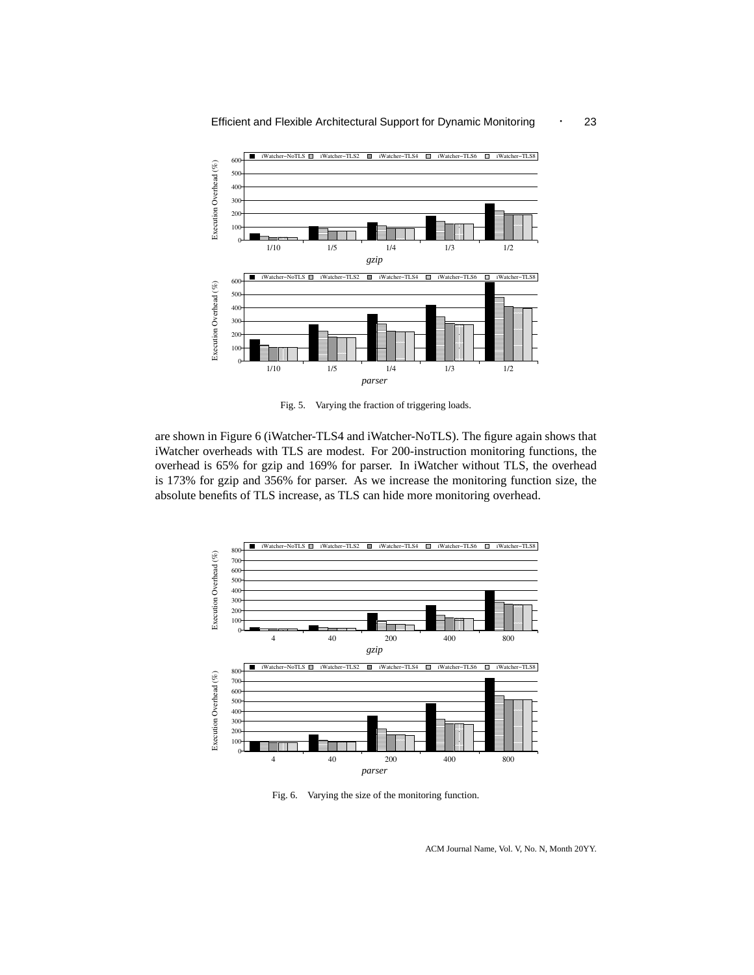

Efficient and Flexible Architectural Support for Dynamic Monitoring • 23

Fig. 5. Varying the fraction of triggering loads.

are shown in Figure 6 (iWatcher-TLS4 and iWatcher-NoTLS). The figure again shows that iWatcher overheads with TLS are modest. For 200-instruction monitoring functions, the overhead is 65% for gzip and 169% for parser. In iWatcher without TLS, the overhead is 173% for gzip and 356% for parser. As we increase the monitoring function size, the absolute benefits of TLS increase, as TLS can hide more monitoring overhead.



Fig. 6. Varying the size of the monitoring function.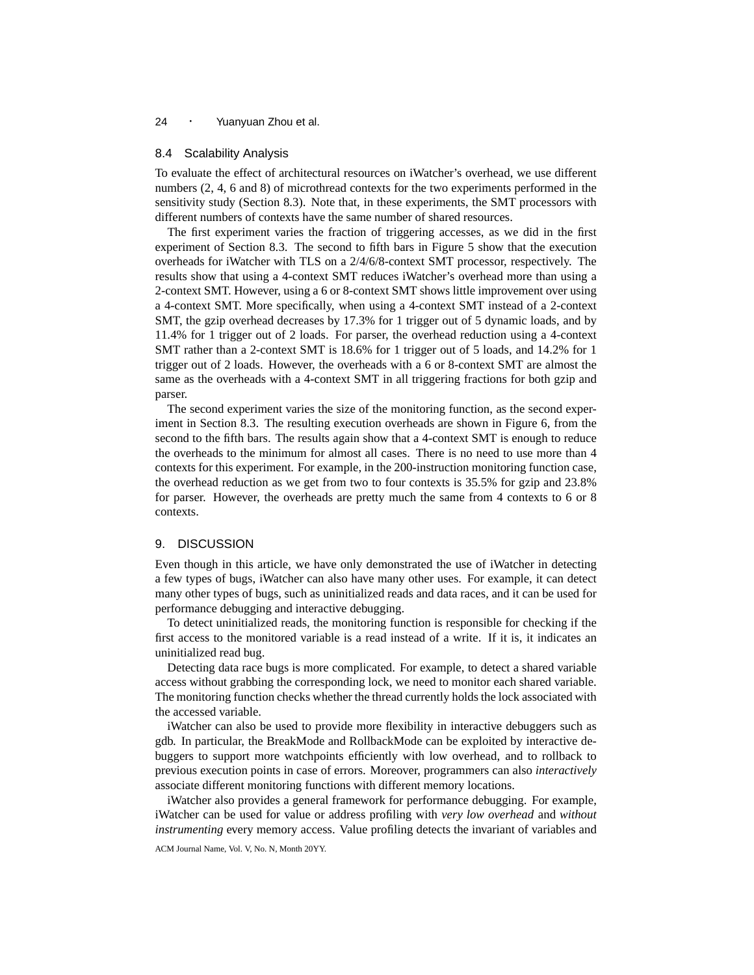#### 8.4 Scalability Analysis

To evaluate the effect of architectural resources on iWatcher's overhead, we use different numbers (2, 4, 6 and 8) of microthread contexts for the two experiments performed in the sensitivity study (Section 8.3). Note that, in these experiments, the SMT processors with different numbers of contexts have the same number of shared resources.

The first experiment varies the fraction of triggering accesses, as we did in the first experiment of Section 8.3. The second to fifth bars in Figure 5 show that the execution overheads for iWatcher with TLS on a 2/4/6/8-context SMT processor, respectively. The results show that using a 4-context SMT reduces iWatcher's overhead more than using a 2-context SMT. However, using a 6 or 8-context SMT shows little improvement over using a 4-context SMT. More specifically, when using a 4-context SMT instead of a 2-context SMT, the gzip overhead decreases by 17.3% for 1 trigger out of 5 dynamic loads, and by 11.4% for 1 trigger out of 2 loads. For parser, the overhead reduction using a 4-context SMT rather than a 2-context SMT is 18.6% for 1 trigger out of 5 loads, and 14.2% for 1 trigger out of 2 loads. However, the overheads with a 6 or 8-context SMT are almost the same as the overheads with a 4-context SMT in all triggering fractions for both gzip and parser.

The second experiment varies the size of the monitoring function, as the second experiment in Section 8.3. The resulting execution overheads are shown in Figure 6, from the second to the fifth bars. The results again show that a 4-context SMT is enough to reduce the overheads to the minimum for almost all cases. There is no need to use more than 4 contexts for this experiment. For example, in the 200-instruction monitoring function case, the overhead reduction as we get from two to four contexts is 35.5% for gzip and 23.8% for parser. However, the overheads are pretty much the same from 4 contexts to 6 or 8 contexts.

# 9. DISCUSSION

Even though in this article, we have only demonstrated the use of iWatcher in detecting a few types of bugs, iWatcher can also have many other uses. For example, it can detect many other types of bugs, such as uninitialized reads and data races, and it can be used for performance debugging and interactive debugging.

To detect uninitialized reads, the monitoring function is responsible for checking if the first access to the monitored variable is a read instead of a write. If it is, it indicates an uninitialized read bug.

Detecting data race bugs is more complicated. For example, to detect a shared variable access without grabbing the corresponding lock, we need to monitor each shared variable. The monitoring function checks whether the thread currently holds the lock associated with the accessed variable.

iWatcher can also be used to provide more flexibility in interactive debuggers such as gdb. In particular, the BreakMode and RollbackMode can be exploited by interactive debuggers to support more watchpoints efficiently with low overhead, and to rollback to previous execution points in case of errors. Moreover, programmers can also *interactively* associate different monitoring functions with different memory locations.

iWatcher also provides a general framework for performance debugging. For example, iWatcher can be used for value or address profiling with *very low overhead* and *without instrumenting* every memory access. Value profiling detects the invariant of variables and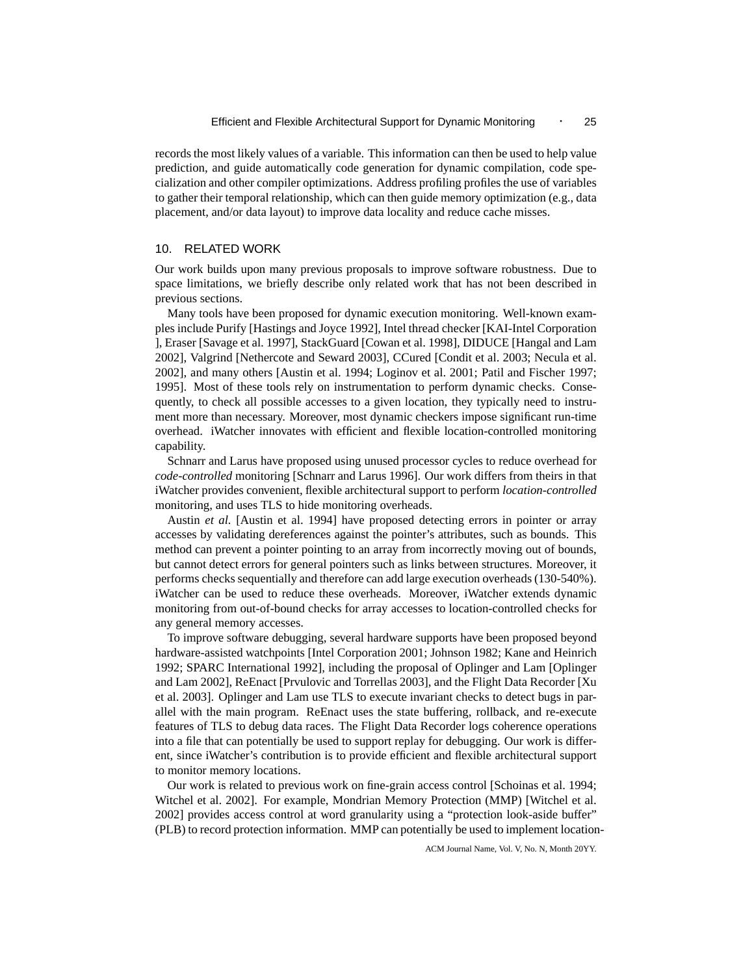records the most likely values of a variable. This information can then be used to help value prediction, and guide automatically code generation for dynamic compilation, code specialization and other compiler optimizations. Address profiling profiles the use of variables to gather their temporal relationship, which can then guide memory optimization (e.g., data placement, and/or data layout) to improve data locality and reduce cache misses.

#### 10. RELATED WORK

Our work builds upon many previous proposals to improve software robustness. Due to space limitations, we briefly describe only related work that has not been described in previous sections.

Many tools have been proposed for dynamic execution monitoring. Well-known examples include Purify [Hastings and Joyce 1992], Intel thread checker [KAI-Intel Corporation ], Eraser [Savage et al. 1997], StackGuard [Cowan et al. 1998], DIDUCE [Hangal and Lam 2002], Valgrind [Nethercote and Seward 2003], CCured [Condit et al. 2003; Necula et al. 2002], and many others [Austin et al. 1994; Loginov et al. 2001; Patil and Fischer 1997; 1995]. Most of these tools rely on instrumentation to perform dynamic checks. Consequently, to check all possible accesses to a given location, they typically need to instrument more than necessary. Moreover, most dynamic checkers impose significant run-time overhead. iWatcher innovates with efficient and flexible location-controlled monitoring capability.

Schnarr and Larus have proposed using unused processor cycles to reduce overhead for *code-controlled* monitoring [Schnarr and Larus 1996]. Our work differs from theirs in that iWatcher provides convenient, flexible architectural support to perform *location-controlled* monitoring, and uses TLS to hide monitoring overheads.

Austin *et al.* [Austin et al. 1994] have proposed detecting errors in pointer or array accesses by validating dereferences against the pointer's attributes, such as bounds. This method can prevent a pointer pointing to an array from incorrectly moving out of bounds, but cannot detect errors for general pointers such as links between structures. Moreover, it performs checks sequentially and therefore can add large execution overheads (130-540%). iWatcher can be used to reduce these overheads. Moreover, iWatcher extends dynamic monitoring from out-of-bound checks for array accesses to location-controlled checks for any general memory accesses.

To improve software debugging, several hardware supports have been proposed beyond hardware-assisted watchpoints [Intel Corporation 2001; Johnson 1982; Kane and Heinrich 1992; SPARC International 1992], including the proposal of Oplinger and Lam [Oplinger and Lam 2002], ReEnact [Prvulovic and Torrellas 2003], and the Flight Data Recorder [Xu et al. 2003]. Oplinger and Lam use TLS to execute invariant checks to detect bugs in parallel with the main program. ReEnact uses the state buffering, rollback, and re-execute features of TLS to debug data races. The Flight Data Recorder logs coherence operations into a file that can potentially be used to support replay for debugging. Our work is different, since iWatcher's contribution is to provide efficient and flexible architectural support to monitor memory locations.

Our work is related to previous work on fine-grain access control [Schoinas et al. 1994; Witchel et al. 2002]. For example, Mondrian Memory Protection (MMP) [Witchel et al. 2002] provides access control at word granularity using a "protection look-aside buffer" (PLB) to record protection information. MMP can potentially be used to implement location-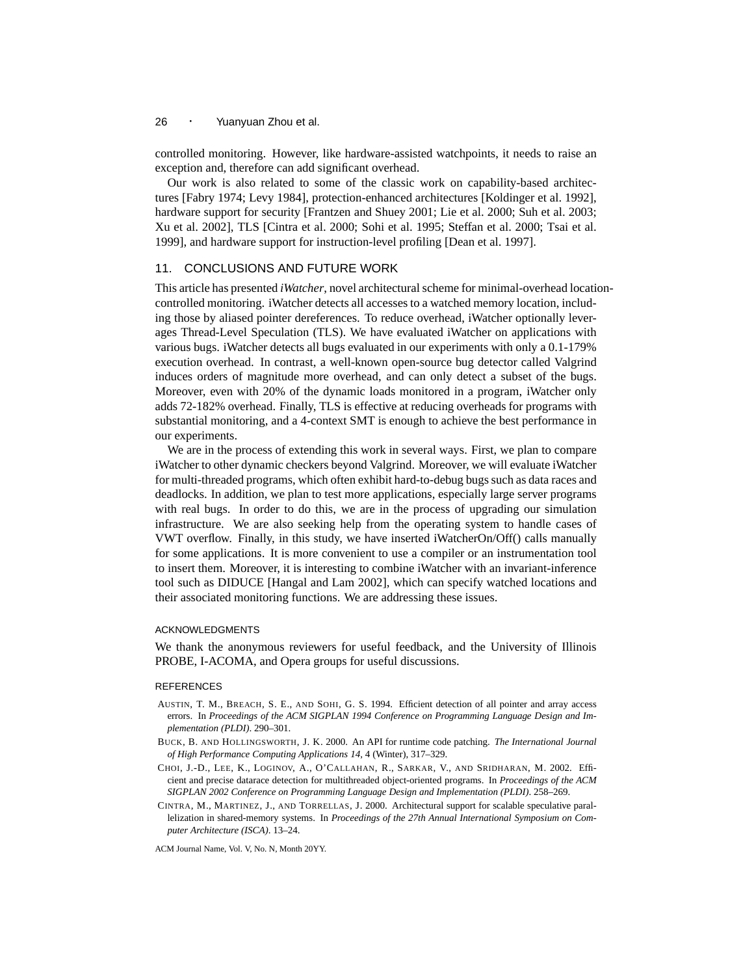controlled monitoring. However, like hardware-assisted watchpoints, it needs to raise an exception and, therefore can add significant overhead.

Our work is also related to some of the classic work on capability-based architectures [Fabry 1974; Levy 1984], protection-enhanced architectures [Koldinger et al. 1992], hardware support for security [Frantzen and Shuey 2001; Lie et al. 2000; Suh et al. 2003; Xu et al. 2002], TLS [Cintra et al. 2000; Sohi et al. 1995; Steffan et al. 2000; Tsai et al. 1999], and hardware support for instruction-level profiling [Dean et al. 1997].

## 11. CONCLUSIONS AND FUTURE WORK

This article has presented *iWatcher*, novel architectural scheme for minimal-overhead locationcontrolled monitoring. iWatcher detects all accesses to a watched memory location, including those by aliased pointer dereferences. To reduce overhead, iWatcher optionally leverages Thread-Level Speculation (TLS). We have evaluated iWatcher on applications with various bugs. iWatcher detects all bugs evaluated in our experiments with only a 0.1-179% execution overhead. In contrast, a well-known open-source bug detector called Valgrind induces orders of magnitude more overhead, and can only detect a subset of the bugs. Moreover, even with 20% of the dynamic loads monitored in a program, iWatcher only adds 72-182% overhead. Finally, TLS is effective at reducing overheads for programs with substantial monitoring, and a 4-context SMT is enough to achieve the best performance in our experiments.

We are in the process of extending this work in several ways. First, we plan to compare iWatcher to other dynamic checkers beyond Valgrind. Moreover, we will evaluate iWatcher for multi-threaded programs, which often exhibit hard-to-debug bugs such as data races and deadlocks. In addition, we plan to test more applications, especially large server programs with real bugs. In order to do this, we are in the process of upgrading our simulation infrastructure. We are also seeking help from the operating system to handle cases of VWT overflow. Finally, in this study, we have inserted iWatcherOn/Off() calls manually for some applications. It is more convenient to use a compiler or an instrumentation tool to insert them. Moreover, it is interesting to combine iWatcher with an invariant-inference tool such as DIDUCE [Hangal and Lam 2002], which can specify watched locations and their associated monitoring functions. We are addressing these issues.

#### ACKNOWLEDGMENTS

We thank the anonymous reviewers for useful feedback, and the University of Illinois PROBE, I-ACOMA, and Opera groups for useful discussions.

#### **REFERENCES**

- AUSTIN, T. M., BREACH, S. E., AND SOHI, G. S. 1994. Efficient detection of all pointer and array access errors. In *Proceedings of the ACM SIGPLAN 1994 Conference on Programming Language Design and Implementation (PLDI)*. 290–301.
- BUCK, B. AND HOLLINGSWORTH, J. K. 2000. An API for runtime code patching. *The International Journal of High Performance Computing Applications 14,* 4 (Winter), 317–329.
- CHOI, J.-D., LEE, K., LOGINOV, A., O'CALLAHAN, R., SARKAR, V., AND SRIDHARAN, M. 2002. Efficient and precise datarace detection for multithreaded object-oriented programs. In *Proceedings of the ACM SIGPLAN 2002 Conference on Programming Language Design and Implementation (PLDI)*. 258–269.
- CINTRA, M., MARTINEZ, J., AND TORRELLAS, J. 2000. Architectural support for scalable speculative parallelization in shared-memory systems. In *Proceedings of the 27th Annual International Symposium on Computer Architecture (ISCA)*. 13–24.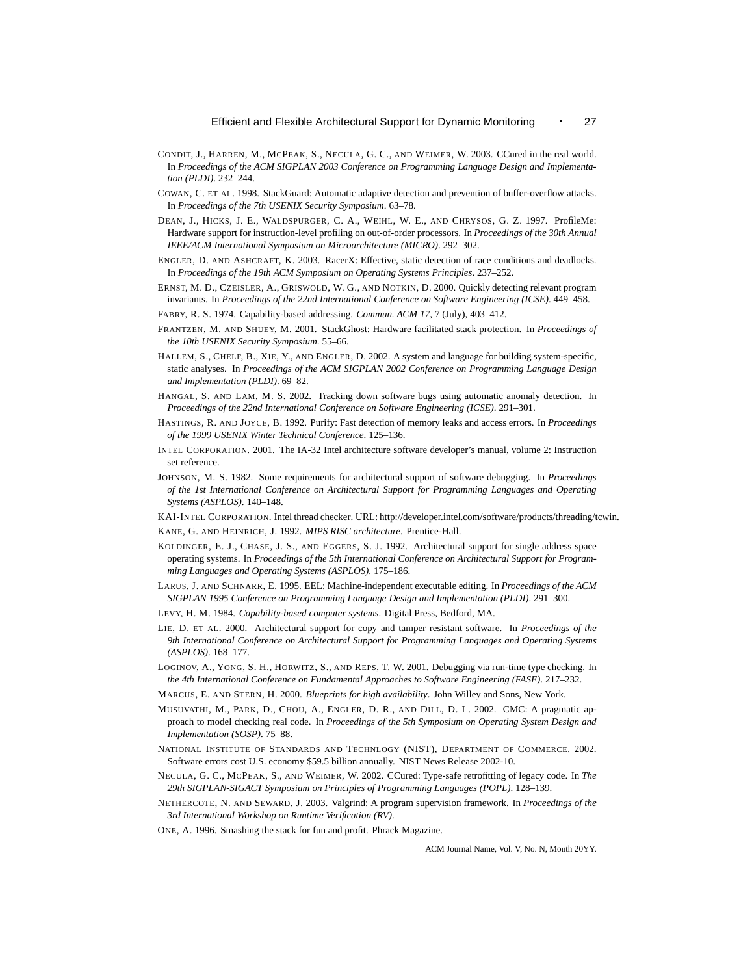- CONDIT, J., HARREN, M., MCPEAK, S., NECULA, G. C., AND WEIMER, W. 2003. CCured in the real world. In *Proceedings of the ACM SIGPLAN 2003 Conference on Programming Language Design and Implementation (PLDI)*. 232–244.
- COWAN, C. ET AL. 1998. StackGuard: Automatic adaptive detection and prevention of buffer-overflow attacks. In *Proceedings of the 7th USENIX Security Symposium*. 63–78.
- DEAN, J., HICKS, J. E., WALDSPURGER, C. A., WEIHL, W. E., AND CHRYSOS, G. Z. 1997. ProfileMe: Hardware support for instruction-level profiling on out-of-order processors. In *Proceedings of the 30th Annual IEEE/ACM International Symposium on Microarchitecture (MICRO)*. 292–302.
- ENGLER, D. AND ASHCRAFT, K. 2003. RacerX: Effective, static detection of race conditions and deadlocks. In *Proceedings of the 19th ACM Symposium on Operating Systems Principles*. 237–252.
- ERNST, M. D., CZEISLER, A., GRISWOLD, W. G., AND NOTKIN, D. 2000. Quickly detecting relevant program invariants. In *Proceedings of the 22nd International Conference on Software Engineering (ICSE)*. 449–458.
- FABRY, R. S. 1974. Capability-based addressing. *Commun. ACM 17,* 7 (July), 403–412.
- FRANTZEN, M. AND SHUEY, M. 2001. StackGhost: Hardware facilitated stack protection. In *Proceedings of the 10th USENIX Security Symposium*. 55–66.
- HALLEM, S., CHELF, B., XIE, Y., AND ENGLER, D. 2002. A system and language for building system-specific, static analyses. In *Proceedings of the ACM SIGPLAN 2002 Conference on Programming Language Design and Implementation (PLDI)*. 69–82.
- HANGAL, S. AND LAM, M. S. 2002. Tracking down software bugs using automatic anomaly detection. In *Proceedings of the 22nd International Conference on Software Engineering (ICSE)*. 291–301.
- HASTINGS, R. AND JOYCE, B. 1992. Purify: Fast detection of memory leaks and access errors. In *Proceedings of the 1999 USENIX Winter Technical Conference*. 125–136.
- INTEL CORPORATION. 2001. The IA-32 Intel architecture software developer's manual, volume 2: Instruction set reference.
- JOHNSON, M. S. 1982. Some requirements for architectural support of software debugging. In *Proceedings of the 1st International Conference on Architectural Support for Programming Languages and Operating Systems (ASPLOS)*. 140–148.
- KAI-INTEL CORPORATION. Intel thread checker. URL: http://developer.intel.com/software/products/threading/tcwin.
- KANE, G. AND HEINRICH, J. 1992. *MIPS RISC architecture*. Prentice-Hall.
- KOLDINGER, E. J., CHASE, J. S., AND EGGERS, S. J. 1992. Architectural support for single address space operating systems. In *Proceedings of the 5th International Conference on Architectural Support for Programming Languages and Operating Systems (ASPLOS)*. 175–186.
- LARUS, J. AND SCHNARR, E. 1995. EEL: Machine-independent executable editing. In *Proceedings of the ACM SIGPLAN 1995 Conference on Programming Language Design and Implementation (PLDI)*. 291–300.
- LEVY, H. M. 1984. *Capability-based computer systems*. Digital Press, Bedford, MA.
- LIE, D. ET AL. 2000. Architectural support for copy and tamper resistant software. In *Proceedings of the 9th International Conference on Architectural Support for Programming Languages and Operating Systems (ASPLOS)*. 168–177.
- LOGINOV, A., YONG, S. H., HORWITZ, S., AND REPS, T. W. 2001. Debugging via run-time type checking. In *the 4th International Conference on Fundamental Approaches to Software Engineering (FASE)*. 217–232.
- MARCUS, E. AND STERN, H. 2000. *Blueprints for high availability*. John Willey and Sons, New York.
- MUSUVATHI, M., PARK, D., CHOU, A., ENGLER, D. R., AND DILL, D. L. 2002. CMC: A pragmatic approach to model checking real code. In *Proceedings of the 5th Symposium on Operating System Design and Implementation (SOSP)*. 75–88.
- NATIONAL INSTITUTE OF STANDARDS AND TECHNLOGY (NIST), DEPARTMENT OF COMMERCE. 2002. Software errors cost U.S. economy \$59.5 billion annually. NIST News Release 2002-10.
- NECULA, G. C., MCPEAK, S., AND WEIMER, W. 2002. CCured: Type-safe retrofitting of legacy code. In *The 29th SIGPLAN-SIGACT Symposium on Principles of Programming Languages (POPL)*. 128–139.
- NETHERCOTE, N. AND SEWARD, J. 2003. Valgrind: A program supervision framework. In *Proceedings of the 3rd International Workshop on Runtime Verification (RV)*.
- ONE, A. 1996. Smashing the stack for fun and profit. Phrack Magazine.